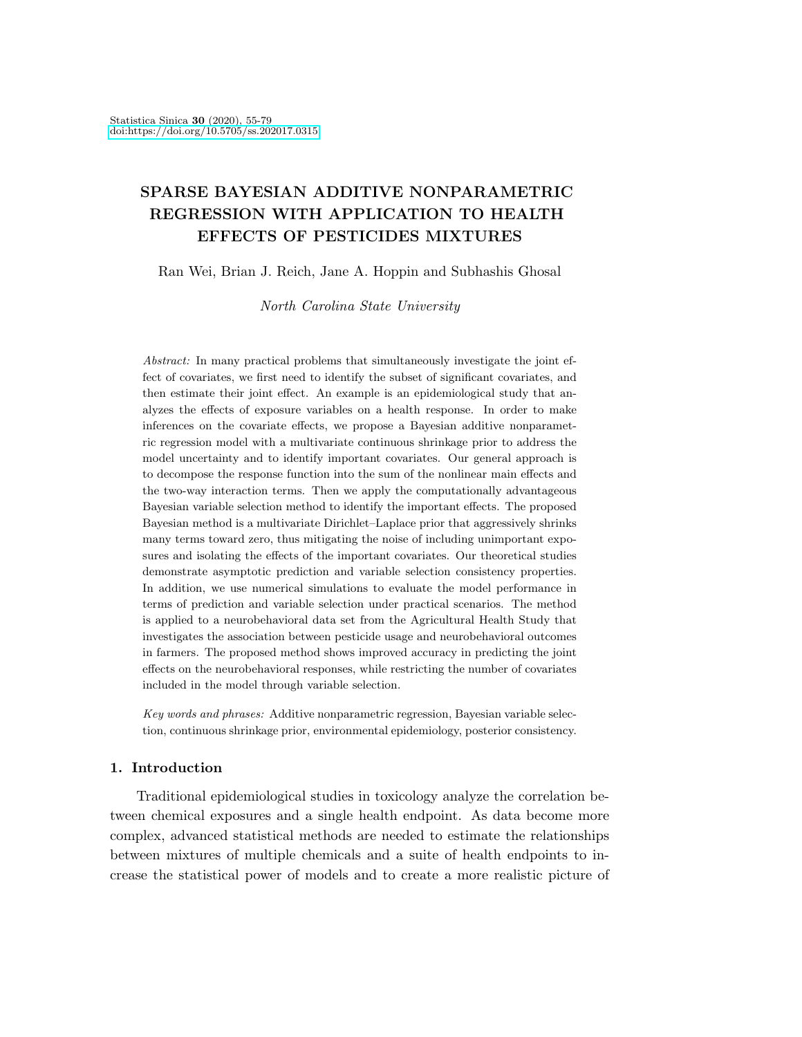# SPARSE BAYESIAN ADDITIVE NONPARAMETRIC REGRESSION WITH APPLICATION TO HEALTH EFFECTS OF PESTICIDES MIXTURES

Ran Wei, Brian J. Reich, Jane A. Hoppin and Subhashis Ghosal

North Carolina State University

Abstract: In many practical problems that simultaneously investigate the joint effect of covariates, we first need to identify the subset of significant covariates, and then estimate their joint effect. An example is an epidemiological study that analyzes the effects of exposure variables on a health response. In order to make inferences on the covariate effects, we propose a Bayesian additive nonparametric regression model with a multivariate continuous shrinkage prior to address the model uncertainty and to identify important covariates. Our general approach is to decompose the response function into the sum of the nonlinear main effects and the two-way interaction terms. Then we apply the computationally advantageous Bayesian variable selection method to identify the important effects. The proposed Bayesian method is a multivariate Dirichlet–Laplace prior that aggressively shrinks many terms toward zero, thus mitigating the noise of including unimportant exposures and isolating the effects of the important covariates. Our theoretical studies demonstrate asymptotic prediction and variable selection consistency properties. In addition, we use numerical simulations to evaluate the model performance in terms of prediction and variable selection under practical scenarios. The method is applied to a neurobehavioral data set from the Agricultural Health Study that investigates the association between pesticide usage and neurobehavioral outcomes in farmers. The proposed method shows improved accuracy in predicting the joint effects on the neurobehavioral responses, while restricting the number of covariates included in the model through variable selection.

Key words and phrases: Additive nonparametric regression, Bayesian variable selection, continuous shrinkage prior, environmental epidemiology, posterior consistency.

# 1. Introduction

Traditional epidemiological studies in toxicology analyze the correlation between chemical exposures and a single health endpoint. As data become more complex, advanced statistical methods are needed to estimate the relationships between mixtures of multiple chemicals and a suite of health endpoints to increase the statistical power of models and to create a more realistic picture of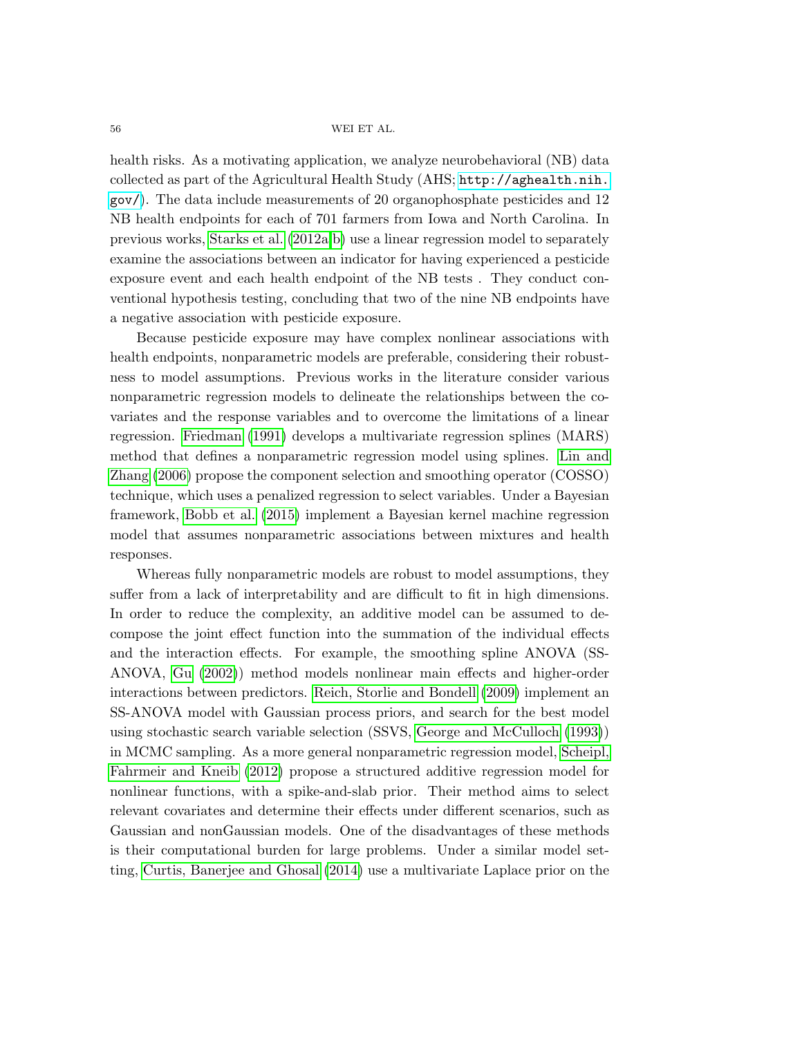health risks. As a motivating application, we analyze neurobehavioral (NB) data collected as part of the Agricultural Health Study (AHS; [http://aghealth.nih.](http://aghealth.nih.gov/) [gov/](http://aghealth.nih.gov/)). The data include measurements of 20 organophosphate pesticides and 12 NB health endpoints for each of 701 farmers from Iowa and North Carolina. In previous works, [Starks et al.](#page-24-0) [\(2012a,](#page-24-0)[b\)](#page-24-1) use a linear regression model to separately examine the associations between an indicator for having experienced a pesticide exposure event and each health endpoint of the NB tests . They conduct conventional hypothesis testing, concluding that two of the nine NB endpoints have a negative association with pesticide exposure.

Because pesticide exposure may have complex nonlinear associations with health endpoints, nonparametric models are preferable, considering their robustness to model assumptions. Previous works in the literature consider various nonparametric regression models to delineate the relationships between the covariates and the response variables and to overcome the limitations of a linear regression. [Friedman](#page-23-0) [\(1991\)](#page-23-0) develops a multivariate regression splines (MARS) method that defines a nonparametric regression model using splines. [Lin and](#page-23-1) [Zhang](#page-23-1) [\(2006\)](#page-23-1) propose the component selection and smoothing operator (COSSO) technique, which uses a penalized regression to select variables. Under a Bayesian framework, [Bobb et al.](#page-23-2) [\(2015\)](#page-23-2) implement a Bayesian kernel machine regression model that assumes nonparametric associations between mixtures and health responses.

Whereas fully nonparametric models are robust to model assumptions, they suffer from a lack of interpretability and are difficult to fit in high dimensions. In order to reduce the complexity, an additive model can be assumed to decompose the joint effect function into the summation of the individual effects and the interaction effects. For example, the smoothing spline ANOVA (SS-ANOVA, [Gu](#page-23-3) [\(2002\)](#page-23-3)) method models nonlinear main effects and higher-order interactions between predictors. [Reich, Storlie and Bondell](#page-23-4) [\(2009\)](#page-23-4) implement an SS-ANOVA model with Gaussian process priors, and search for the best model using stochastic search variable selection (SSVS, [George and McCulloch](#page-23-5) [\(1993\)](#page-23-5)) in MCMC sampling. As a more general nonparametric regression model, [Scheipl,](#page-23-6) [Fahrmeir and Kneib](#page-23-6) [\(2012\)](#page-23-6) propose a structured additive regression model for nonlinear functions, with a spike-and-slab prior. Their method aims to select relevant covariates and determine their effects under different scenarios, such as Gaussian and nonGaussian models. One of the disadvantages of these methods is their computational burden for large problems. Under a similar model setting, [Curtis, Banerjee and Ghosal](#page-23-7) [\(2014\)](#page-23-7) use a multivariate Laplace prior on the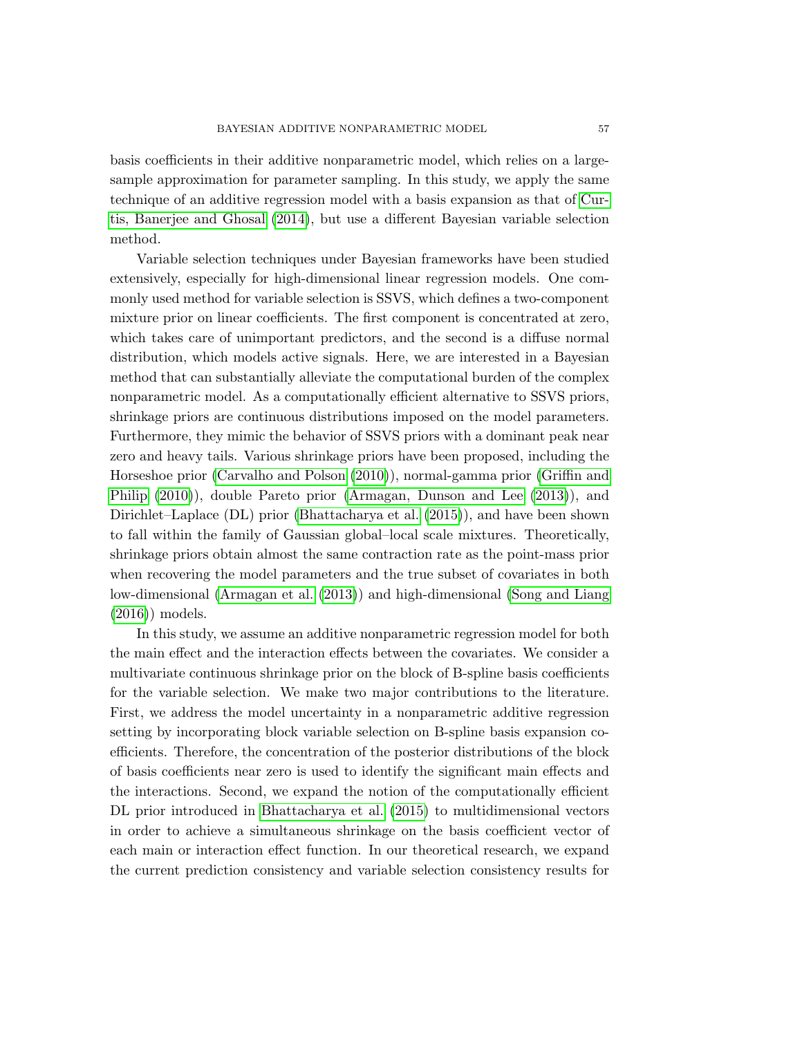basis coefficients in their additive nonparametric model, which relies on a largesample approximation for parameter sampling. In this study, we apply the same technique of an additive regression model with a basis expansion as that of [Cur](#page-23-7)[tis, Banerjee and Ghosal](#page-23-7) [\(2014\)](#page-23-7), but use a different Bayesian variable selection method.

Variable selection techniques under Bayesian frameworks have been studied extensively, especially for high-dimensional linear regression models. One commonly used method for variable selection is SSVS, which defines a two-component mixture prior on linear coefficients. The first component is concentrated at zero, which takes care of unimportant predictors, and the second is a diffuse normal distribution, which models active signals. Here, we are interested in a Bayesian method that can substantially alleviate the computational burden of the complex nonparametric model. As a computationally efficient alternative to SSVS priors, shrinkage priors are continuous distributions imposed on the model parameters. Furthermore, they mimic the behavior of SSVS priors with a dominant peak near zero and heavy tails. Various shrinkage priors have been proposed, including the Horseshoe prior [\(Carvalho and Polson](#page-23-8) [\(2010\)](#page-23-8)), normal-gamma prior [\(Griffin and](#page-23-9) [Philip](#page-23-9) [\(2010\)](#page-23-9)), double Pareto prior [\(Armagan, Dunson and Lee](#page-23-10) [\(2013\)](#page-23-10)), and Dirichlet–Laplace (DL) prior [\(Bhattacharya et al.](#page-23-11) [\(2015\)](#page-23-11)), and have been shown to fall within the family of Gaussian global–local scale mixtures. Theoretically, shrinkage priors obtain almost the same contraction rate as the point-mass prior when recovering the model parameters and the true subset of covariates in both low-dimensional [\(Armagan et al.](#page-23-12) [\(2013\)](#page-23-12)) and high-dimensional [\(Song and Liang](#page-23-13) [\(2016\)](#page-23-13)) models.

In this study, we assume an additive nonparametric regression model for both the main effect and the interaction effects between the covariates. We consider a multivariate continuous shrinkage prior on the block of B-spline basis coefficients for the variable selection. We make two major contributions to the literature. First, we address the model uncertainty in a nonparametric additive regression setting by incorporating block variable selection on B-spline basis expansion coefficients. Therefore, the concentration of the posterior distributions of the block of basis coefficients near zero is used to identify the significant main effects and the interactions. Second, we expand the notion of the computationally efficient DL prior introduced in [Bhattacharya et al.](#page-23-11) [\(2015\)](#page-23-11) to multidimensional vectors in order to achieve a simultaneous shrinkage on the basis coefficient vector of each main or interaction effect function. In our theoretical research, we expand the current prediction consistency and variable selection consistency results for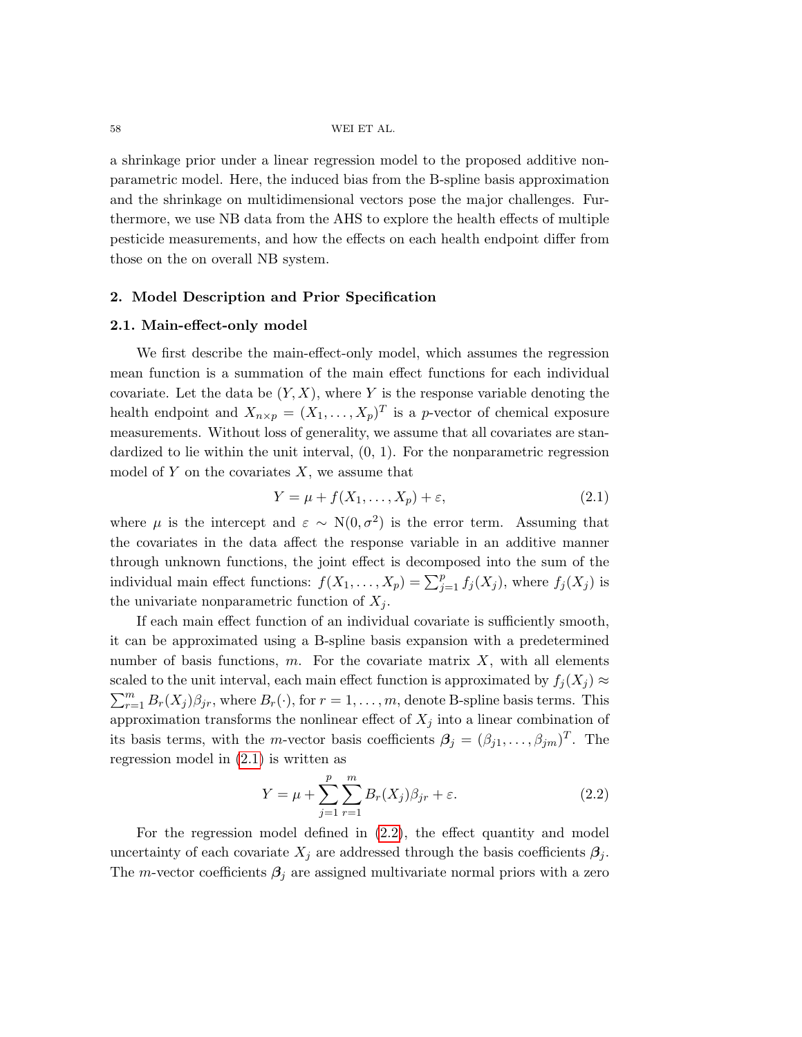a shrinkage prior under a linear regression model to the proposed additive nonparametric model. Here, the induced bias from the B-spline basis approximation and the shrinkage on multidimensional vectors pose the major challenges. Furthermore, we use NB data from the AHS to explore the health effects of multiple pesticide measurements, and how the effects on each health endpoint differ from those on the on overall NB system.

## 2. Model Description and Prior Specification

### <span id="page-3-2"></span>2.1. Main-effect-only model

We first describe the main-effect-only model, which assumes the regression mean function is a summation of the main effect functions for each individual covariate. Let the data be  $(Y, X)$ , where Y is the response variable denoting the health endpoint and  $X_{n\times p} = (X_1, \ldots, X_p)^T$  is a p-vector of chemical exposure measurements. Without loss of generality, we assume that all covariates are standardized to lie within the unit interval,  $(0, 1)$ . For the nonparametric regression model of Y on the covariates  $X$ , we assume that

<span id="page-3-0"></span>
$$
Y = \mu + f(X_1, \dots, X_p) + \varepsilon,\tag{2.1}
$$

where  $\mu$  is the intercept and  $\varepsilon \sim N(0, \sigma^2)$  is the error term. Assuming that the covariates in the data affect the response variable in an additive manner through unknown functions, the joint effect is decomposed into the sum of the individual main effect functions:  $f(X_1, \ldots, X_p) = \sum_{j=1}^p f_j(X_j)$ , where  $f_j(X_j)$  is the univariate nonparametric function of  $X_i$ .

If each main effect function of an individual covariate is sufficiently smooth, it can be approximated using a B-spline basis expansion with a predetermined number of basis functions,  $m$ . For the covariate matrix  $X$ , with all elements scaled to the unit interval, each main effect function is approximated by  $f_j(X_j) \approx$  $\sum_{r=1}^{m} B_r(X_j) \beta_{jr}$ , where  $B_r(\cdot)$ , for  $r = 1, \ldots, m$ , denote B-spline basis terms. This approximation transforms the nonlinear effect of  $X_j$  into a linear combination of its basis terms, with the *m*-vector basis coefficients  $\beta_j = (\beta_{j1}, \dots, \beta_{jm})^T$ . The regression model in [\(2.1\)](#page-3-0) is written as

<span id="page-3-1"></span>
$$
Y = \mu + \sum_{j=1}^{p} \sum_{r=1}^{m} B_r(X_j) \beta_{jr} + \varepsilon.
$$
 (2.2)

For the regression model defined in [\(2.2\)](#page-3-1), the effect quantity and model uncertainty of each covariate  $X_j$  are addressed through the basis coefficients  $\beta_j$ . The m-vector coefficients  $\beta_i$  are assigned multivariate normal priors with a zero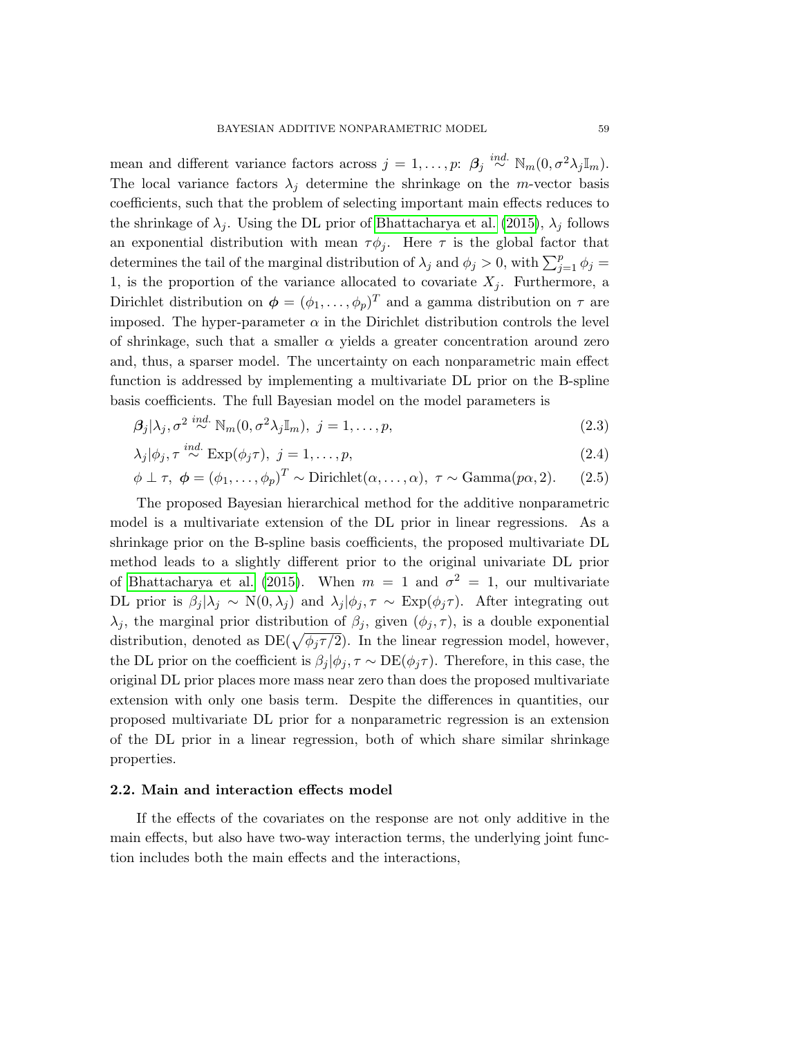mean and different variance factors across  $j = 1, \ldots, p: \beta_j \stackrel{ind.}{\sim} \mathbb{N}_m(0, \sigma^2 \lambda_j \mathbb{I}_m)$ . The local variance factors  $\lambda_j$  determine the shrinkage on the *m*-vector basis coefficients, such that the problem of selecting important main effects reduces to the shrinkage of  $\lambda_i$ . Using the DL prior of [Bhattacharya et al.](#page-23-11) [\(2015\)](#page-23-11),  $\lambda_i$  follows an exponential distribution with mean  $\tau \phi_i$ . Here  $\tau$  is the global factor that determines the tail of the marginal distribution of  $\lambda_j$  and  $\phi_j > 0$ , with  $\sum_{j=1}^p \phi_j =$ 1, is the proportion of the variance allocated to covariate  $X_j$ . Furthermore, a Dirichlet distribution on  $\boldsymbol{\phi} = (\phi_1, \dots, \phi_p)^T$  and a gamma distribution on  $\tau$  are imposed. The hyper-parameter  $\alpha$  in the Dirichlet distribution controls the level of shrinkage, such that a smaller  $\alpha$  yields a greater concentration around zero and, thus, a sparser model. The uncertainty on each nonparametric main effect function is addressed by implementing a multivariate DL prior on the B-spline basis coefficients. The full Bayesian model on the model parameters is

$$
\beta_j|\lambda_j, \sigma^2 \stackrel{ind.}{\sim} \mathbb{N}_m(0, \sigma^2 \lambda_j \mathbb{I}_m), \ j = 1, \dots, p,\tag{2.3}
$$

$$
\lambda_j|\phi_j, \tau \stackrel{ind.}{\sim} \text{Exp}(\phi_j \tau), \ j = 1, \dots, p,\tag{2.4}
$$

$$
\phi \perp \tau, \phi = (\phi_1, \dots, \phi_p)^T \sim \text{Dirichlet}(\alpha, \dots, \alpha), \tau \sim \text{Gamma}(p\alpha, 2). \tag{2.5}
$$

The proposed Bayesian hierarchical method for the additive nonparametric model is a multivariate extension of the DL prior in linear regressions. As a shrinkage prior on the B-spline basis coefficients, the proposed multivariate DL method leads to a slightly different prior to the original univariate DL prior of [Bhattacharya et al.](#page-23-11) [\(2015\)](#page-23-11). When  $m = 1$  and  $\sigma^2 = 1$ , our multivariate DL prior is  $\beta_j | \lambda_j \sim N(0, \lambda_j)$  and  $\lambda_j | \phi_j, \tau \sim \text{Exp}(\phi_j \tau)$ . After integrating out  $\lambda_j$ , the marginal prior distribution of  $\beta_j$ , given  $(\phi_j, \tau)$ , is a double exponential distribution, denoted as  $DE(\sqrt{\phi_j \tau/2})$ . In the linear regression model, however, the DL prior on the coefficient is  $\beta_j | \phi_j, \tau \sim DE(\phi_j \tau)$ . Therefore, in this case, the original DL prior places more mass near zero than does the proposed multivariate extension with only one basis term. Despite the differences in quantities, our proposed multivariate DL prior for a nonparametric regression is an extension of the DL prior in a linear regression, both of which share similar shrinkage properties.

## <span id="page-4-0"></span>2.2. Main and interaction effects model

If the effects of the covariates on the response are not only additive in the main effects, but also have two-way interaction terms, the underlying joint function includes both the main effects and the interactions,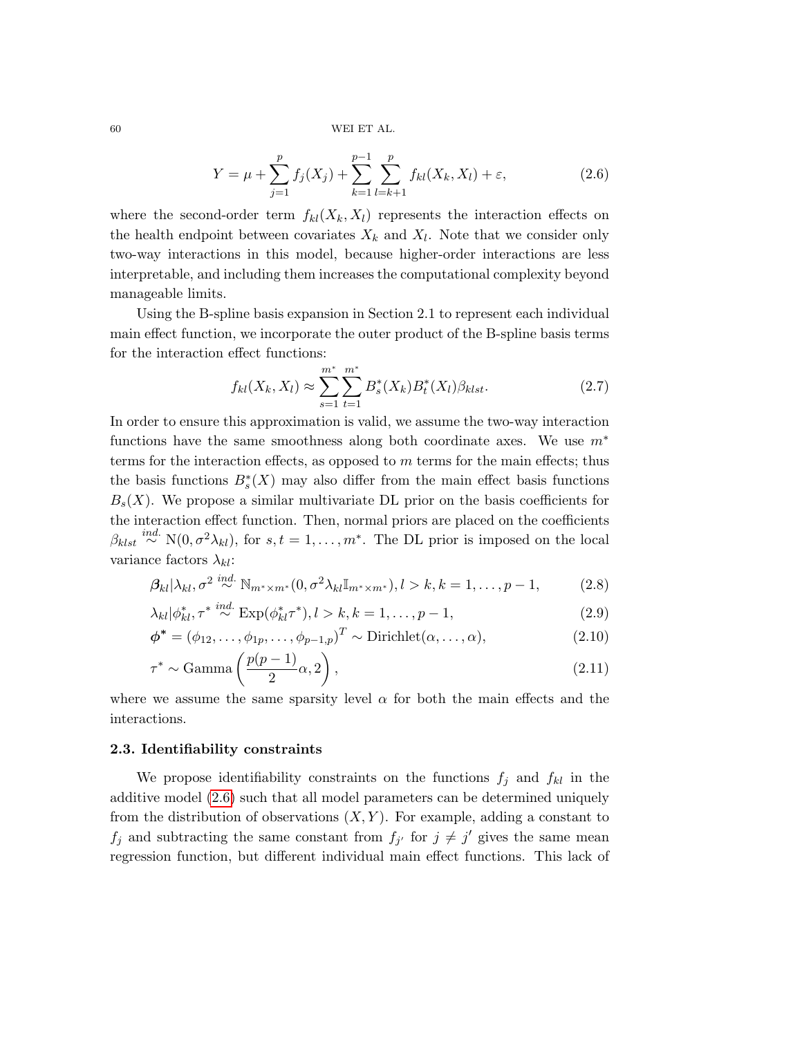<span id="page-5-0"></span>
$$
Y = \mu + \sum_{j=1}^{p} f_j(X_j) + \sum_{k=1}^{p-1} \sum_{l=k+1}^{p} f_{kl}(X_k, X_l) + \varepsilon,
$$
\n(2.6)

where the second-order term  $f_{kl}(X_k, X_l)$  represents the interaction effects on the health endpoint between covariates  $X_k$  and  $X_l$ . Note that we consider only two-way interactions in this model, because higher-order interactions are less interpretable, and including them increases the computational complexity beyond manageable limits.

Using the B-spline basis expansion in Section [2.1](#page-3-2) to represent each individual main effect function, we incorporate the outer product of the B-spline basis terms for the interaction effect functions:

<span id="page-5-1"></span>
$$
f_{kl}(X_k, X_l) \approx \sum_{s=1}^{m^*} \sum_{t=1}^{m^*} B_s^*(X_k) B_t^*(X_l) \beta_{klst}.
$$
 (2.7)

In order to ensure this approximation is valid, we assume the two-way interaction functions have the same smoothness along both coordinate axes. We use  $m^*$ terms for the interaction effects, as opposed to  $m$  terms for the main effects; thus the basis functions  $B_s^*(X)$  may also differ from the main effect basis functions  $B_s(X)$ . We propose a similar multivariate DL prior on the basis coefficients for the interaction effect function. Then, normal priors are placed on the coefficients  $\beta_{klst} \stackrel{ind.}{\sim} N(0, \sigma^2 \lambda_{kl}),$  for  $s, t = 1, \ldots, m^*$ . The DL prior is imposed on the local variance factors  $\lambda_{kl}$ :

$$
\beta_{kl} |\lambda_{kl}, \sigma^2 \stackrel{ind.}{\sim} \mathbb{N}_{m^* \times m^*} (0, \sigma^2 \lambda_{kl} \mathbb{I}_{m^* \times m^*}), l > k, k = 1, \dots, p-1,
$$
 (2.8)

$$
\lambda_{kl}|\phi_{kl}^*, \tau^* \stackrel{ind.}{\sim} \text{Exp}(\phi_{kl}^*\tau^*), l > k, k = 1, \dots, p-1,
$$
\n(2.9)

$$
\phi^* = (\phi_{12}, \dots, \phi_{1p}, \dots, \phi_{p-1,p})^T \sim \text{Dirichlet}(\alpha, \dots, \alpha),\tag{2.10}
$$

$$
\tau^* \sim \text{Gamma}\left(\frac{p(p-1)}{2}\alpha, 2\right),\tag{2.11}
$$

where we assume the same sparsity level  $\alpha$  for both the main effects and the interactions.

## 2.3. Identifiability constraints

We propose identifiability constraints on the functions  $f_i$  and  $f_{kl}$  in the additive model [\(2.6\)](#page-5-0) such that all model parameters can be determined uniquely from the distribution of observations  $(X, Y)$ . For example, adding a constant to  $f_j$  and subtracting the same constant from  $f_{j'}$  for  $j \neq j'$  gives the same mean regression function, but different individual main effect functions. This lack of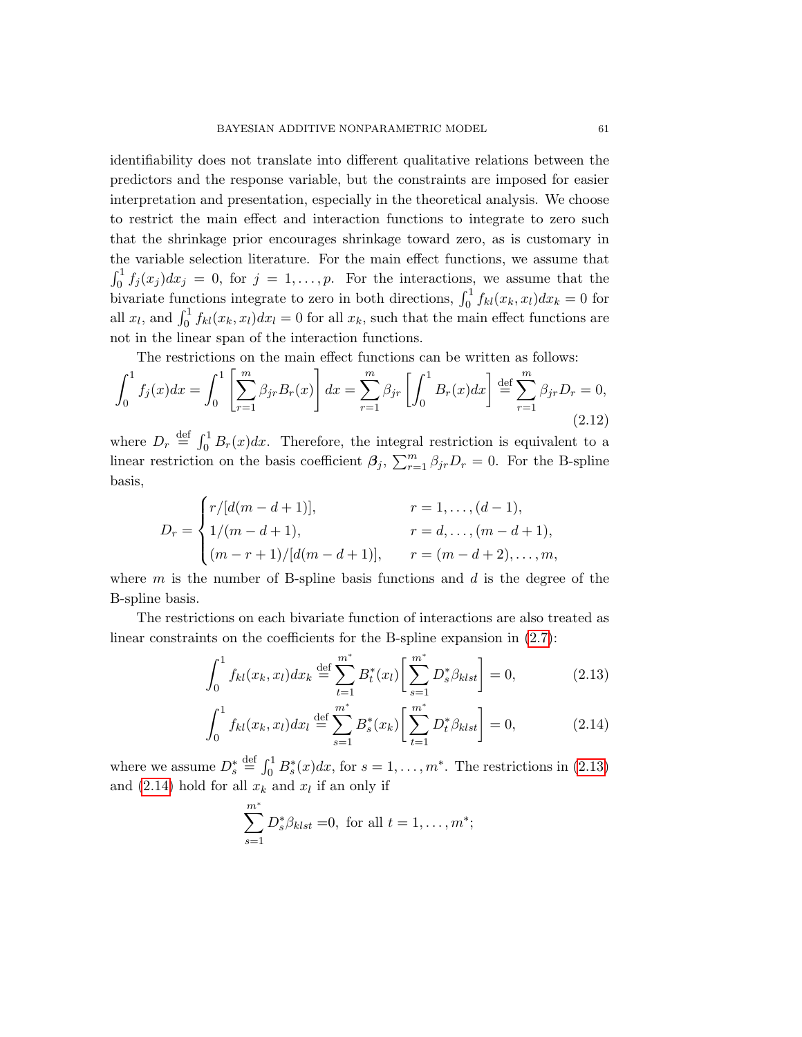identifiability does not translate into different qualitative relations between the predictors and the response variable, but the constraints are imposed for easier interpretation and presentation, especially in the theoretical analysis. We choose to restrict the main effect and interaction functions to integrate to zero such that the shrinkage prior encourages shrinkage toward zero, as is customary in the variable selection literature. For the main effect functions, we assume that  $\int_0^1 f_j(x_j)dx_j = 0$ , for  $j = 1, \ldots, p$ . For the interactions, we assume that the bivariate functions integrate to zero in both directions,  $\int_0^1 f_{kl}(x_k, x_l) dx_k = 0$  for all  $x_l$ , and  $\int_0^1 f_{kl}(x_k, x_l) dx_l = 0$  for all  $x_k$ , such that the main effect functions are not in the linear span of the interaction functions.

The restrictions on the main effect functions can be written as follows:

<span id="page-6-2"></span>
$$
\int_0^1 f_j(x)dx = \int_0^1 \left[ \sum_{r=1}^m \beta_{jr} B_r(x) \right] dx = \sum_{r=1}^m \beta_{jr} \left[ \int_0^1 B_r(x)dx \right] \stackrel{\text{def}}{=} \sum_{r=1}^m \beta_{jr} D_r = 0,
$$
\n(2.12)

where  $D_r \stackrel{\text{def}}{=} \int_0^1 B_r(x) dx$ . Therefore, the integral restriction is equivalent to a linear restriction on the basis coefficient  $\beta_j$ ,  $\sum_{r=1}^m \beta_{jr}D_r = 0$ . For the B-spline basis,

$$
D_r = \begin{cases} r/[d(m-d+1)], & r = 1, ..., (d-1), \\ 1/(m-d+1), & r = d, ..., (m-d+1), \\ (m-r+1)/[d(m-d+1)], & r = (m-d+2), ..., m, \end{cases}
$$

where  $m$  is the number of B-spline basis functions and  $d$  is the degree of the B-spline basis.

The restrictions on each bivariate function of interactions are also treated as linear constraints on the coefficients for the B-spline expansion in [\(2.7\)](#page-5-1):

$$
\int_0^1 f_{kl}(x_k, x_l) dx_k \stackrel{\text{def}}{=} \sum_{t=1}^{m^*} B_t^*(x_l) \left[ \sum_{s=1}^{m^*} D_s^* \beta_{klst} \right] = 0, \tag{2.13}
$$

$$
\int_0^1 f_{kl}(x_k, x_l) dx_l \stackrel{\text{def}}{=} \sum_{s=1}^{m^*} B_s^*(x_k) \left[ \sum_{t=1}^{m^*} D_t^* \beta_{klst} \right] = 0, \tag{2.14}
$$

where we assume  $D_s^* \stackrel{\text{def}}{=} \int_0^1 B_s^*(x) dx$ , for  $s = 1, \ldots, m^*$ . The restrictions in [\(2.13\)](#page-6-0) and  $(2.14)$  hold for all  $x_k$  and  $x_l$  if an only if

<span id="page-6-1"></span><span id="page-6-0"></span>
$$
\sum_{s=1}^{m^*} D_s^* \beta_{klst} = 0, \text{ for all } t = 1, \dots, m^*;
$$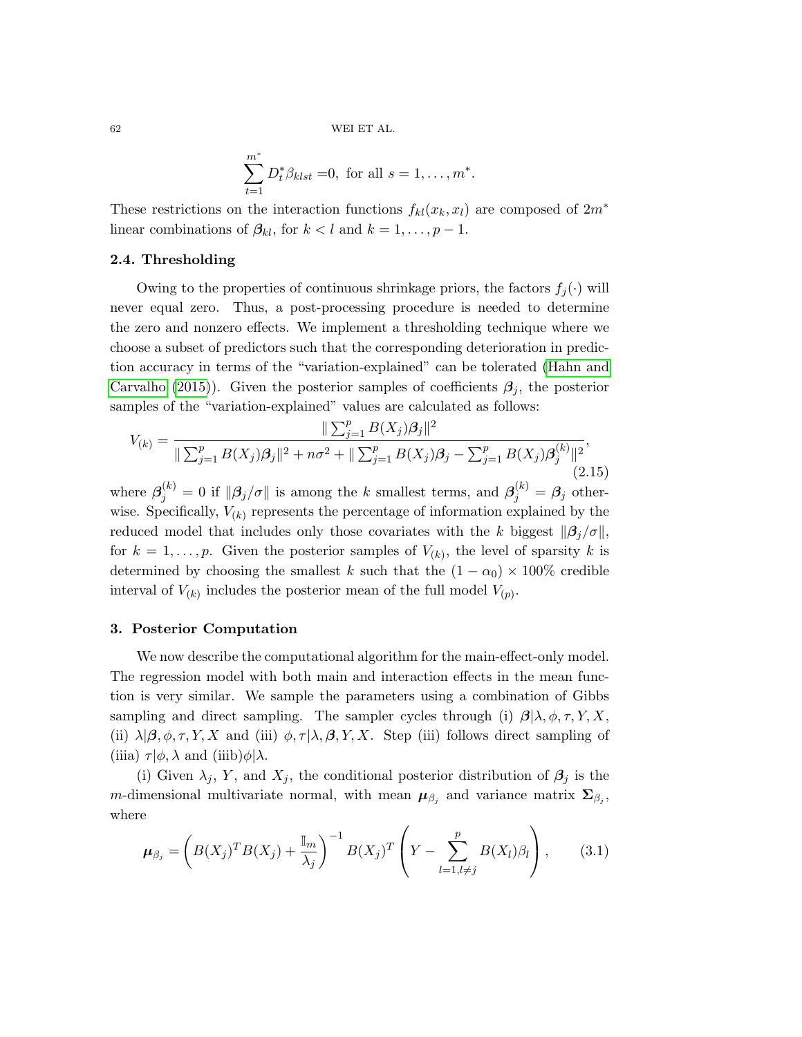$$
\sum_{t=1}^{m^*} D_t^* \beta_{klst} = 0, \text{ for all } s = 1, \dots, m^*.
$$

These restrictions on the interaction functions  $f_{kl}(x_k, x_l)$  are composed of  $2m^*$ linear combinations of  $\beta_{kl}$ , for  $k < l$  and  $k = 1, \ldots, p - 1$ .

# 2.4. Thresholding

Owing to the properties of continuous shrinkage priors, the factors  $f_i(\cdot)$  will never equal zero. Thus, a post-processing procedure is needed to determine the zero and nonzero effects. We implement a thresholding technique where we choose a subset of predictors such that the corresponding deterioration in prediction accuracy in terms of the "variation-explained" can be tolerated [\(Hahn and](#page-23-14) [Carvalho](#page-23-14) [\(2015\)](#page-23-14)). Given the posterior samples of coefficients  $\beta_j$ , the posterior samples of the "variation-explained" values are calculated as follows:

<span id="page-7-0"></span>
$$
V_{(k)} = \frac{\|\sum_{j=1}^{p} B(X_j)\beta_j\|^2}{\|\sum_{j=1}^{p} B(X_j)\beta_j\|^2 + n\sigma^2 + \|\sum_{j=1}^{p} B(X_j)\beta_j - \sum_{j=1}^{p} B(X_j)\beta_j^{(k)}\|^2},\tag{2.15}
$$

where  $\beta_j^{(k)} = 0$  if  $\|\beta_j/\sigma\|$  is among the k smallest terms, and  $\beta_j^{(k)} = \beta_j$  otherwise. Specifically,  $V_{(k)}$  represents the percentage of information explained by the reduced model that includes only those covariates with the k biggest  $\|\beta_i/\sigma\|$ , for  $k = 1, \ldots, p$ . Given the posterior samples of  $V_{(k)}$ , the level of sparsity k is determined by choosing the smallest k such that the  $(1 - \alpha_0) \times 100\%$  credible interval of  $V_{(k)}$  includes the posterior mean of the full model  $V_{(p)}$ .

## 3. Posterior Computation

We now describe the computational algorithm for the main-effect-only model. The regression model with both main and interaction effects in the mean function is very similar. We sample the parameters using a combination of Gibbs sampling and direct sampling. The sampler cycles through (i)  $\beta | \lambda, \phi, \tau, Y, X$ , (ii)  $\lambda|\beta, \phi, \tau, Y, X$  and (iii)  $\phi, \tau|\lambda, \beta, Y, X$ . Step (iii) follows direct sampling of (iiia)  $\tau | \phi, \lambda \text{ and } (iiib)\phi | \lambda.$ 

(i) Given  $\lambda_j$ , Y, and  $X_j$ , the conditional posterior distribution of  $\beta_j$  is the m-dimensional multivariate normal, with mean  $\mu_{\beta_j}$  and variance matrix  $\Sigma_{\beta_j}$ , where

$$
\boldsymbol{\mu}_{\beta_j} = \left( B(X_j)^T B(X_j) + \frac{\mathbb{I}_m}{\lambda_j} \right)^{-1} B(X_j)^T \left( Y - \sum_{l=1, l \neq j}^p B(X_l) \beta_l \right), \qquad (3.1)
$$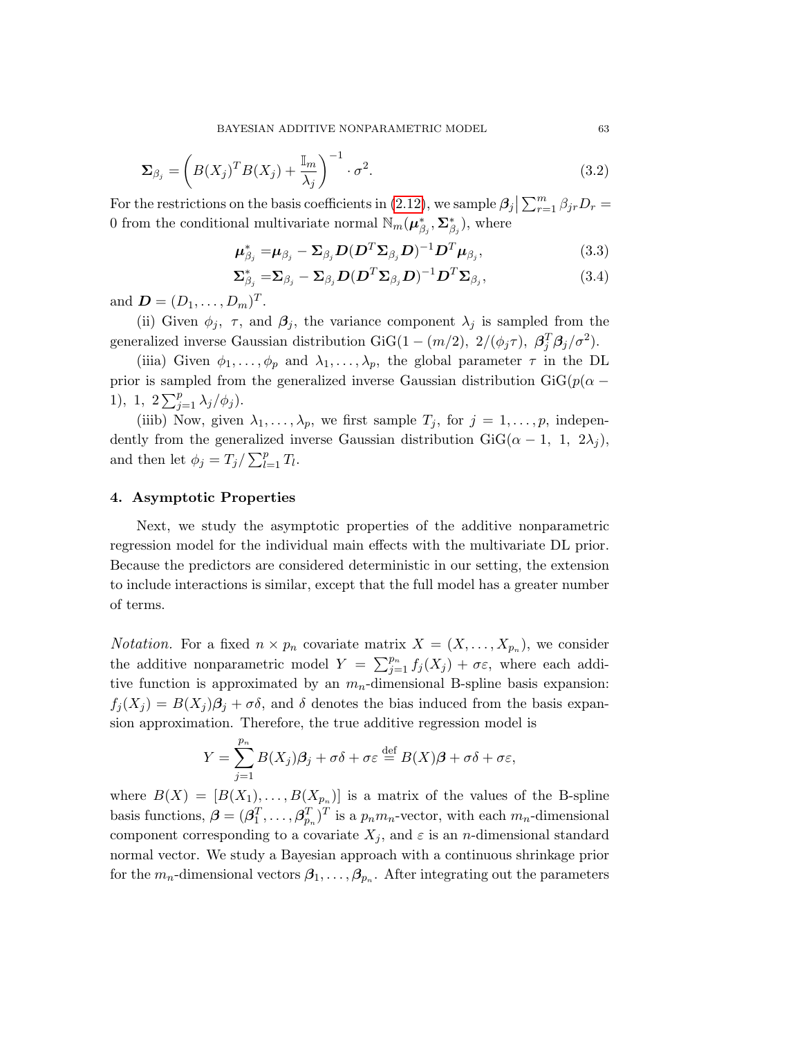BAYESIAN ADDITIVE NONPARAMETRIC MODEL 63

$$
\Sigma_{\beta_j} = \left( B(X_j)^T B(X_j) + \frac{\mathbb{I}_m}{\lambda_j} \right)^{-1} \cdot \sigma^2.
$$
\n(3.2)

For the restrictions on the basis coefficients in [\(2.12\)](#page-6-2), we sample  $\beta_j | \sum_{r=1}^m \beta_{jr} D_r =$ 0 from the conditional multivariate normal  $\mathbb{N}_m(\mu_{\beta_i}^*, \Sigma_{\beta_i}^*)$ , where

$$
\boldsymbol{\mu}_{\beta_j}^* = \boldsymbol{\mu}_{\beta_j} - \boldsymbol{\Sigma}_{\beta_j} \boldsymbol{D} (\boldsymbol{D}^T \boldsymbol{\Sigma}_{\beta_j} \boldsymbol{D})^{-1} \boldsymbol{D}^T \boldsymbol{\mu}_{\beta_j},
$$
\n(3.3)

$$
\Sigma_{\beta_j}^* = \Sigma_{\beta_j} - \Sigma_{\beta_j} D(D^T \Sigma_{\beta_j} D)^{-1} D^T \Sigma_{\beta_j},
$$
\n(3.4)

and  $\mathbf{D} = (D_1, \ldots, D_m)^T$ .

(ii) Given  $\phi_j$ ,  $\tau$ , and  $\beta_j$ , the variance component  $\lambda_j$  is sampled from the generalized inverse Gaussian distribution GiG(1 –  $(m/2)$ ,  $2/(\phi_j \tau)$ ,  $\beta_j^T \beta_j / \sigma^2$ ).

(iiia) Given  $\phi_1, \ldots, \phi_p$  and  $\lambda_1, \ldots, \lambda_p$ , the global parameter  $\tau$  in the DL prior is sampled from the generalized inverse Gaussian distribution GiG( $p(\alpha -$ 1), 1,  $2\sum_{j=1}^{p} \lambda_j/\phi_j$ .

(iiib) Now, given  $\lambda_1, \ldots, \lambda_p$ , we first sample  $T_j$ , for  $j = 1, \ldots, p$ , independently from the generalized inverse Gaussian distribution  $GiG(\alpha - 1, 1, 2\lambda_i),$ and then let  $\phi_j = T_j / \sum_{l=1}^p T_l$ .

## 4. Asymptotic Properties

Next, we study the asymptotic properties of the additive nonparametric regression model for the individual main effects with the multivariate DL prior. Because the predictors are considered deterministic in our setting, the extension to include interactions is similar, except that the full model has a greater number of terms.

*Notation*. For a fixed  $n \times p_n$  covariate matrix  $X = (X, \ldots, X_{p_n})$ , we consider the additive nonparametric model  $Y = \sum_{j=1}^{p_n} f_j(X_j) + \sigma \varepsilon$ , where each additive function is approximated by an  $m_n$ -dimensional B-spline basis expansion:  $f_i(X_i) = B(X_i)\beta_i + \sigma \delta$ , and  $\delta$  denotes the bias induced from the basis expansion approximation. Therefore, the true additive regression model is

$$
Y = \sum_{j=1}^{p_n} B(X_j) \beta_j + \sigma \delta + \sigma \varepsilon \stackrel{\text{def}}{=} B(X) \beta + \sigma \delta + \sigma \varepsilon,
$$

where  $B(X) = [B(X_1), \ldots, B(X_{p_n})]$  is a matrix of the values of the B-spline basis functions,  $\boldsymbol{\beta} = (\beta_1^T, \dots, \beta_{p_n}^T)^T$  is a  $p_n m_n$ -vector, with each  $m_n$ -dimensional component corresponding to a covariate  $X_i$ , and  $\varepsilon$  is an *n*-dimensional standard normal vector. We study a Bayesian approach with a continuous shrinkage prior for the  $m_n$ -dimensional vectors  $\beta_1, \ldots, \beta_{p_n}$ . After integrating out the parameters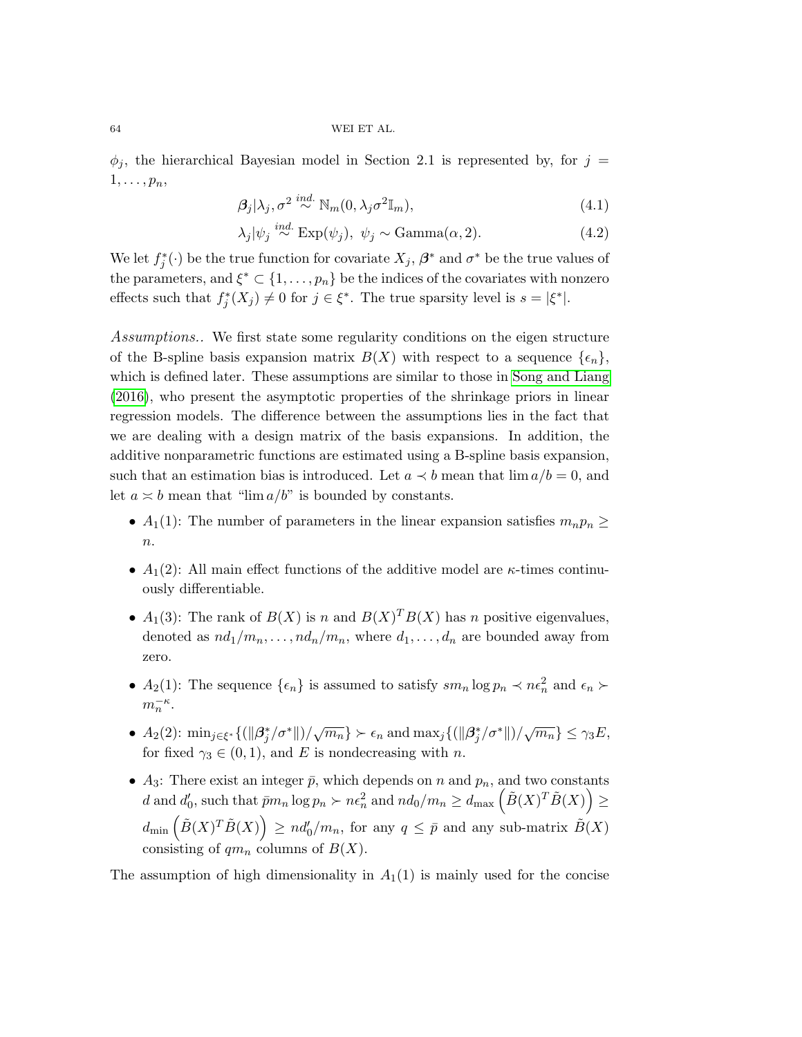$\phi_i$ , the hierarchical Bayesian model in Section [2.1](#page-3-2) is represented by, for  $j =$  $1, \ldots, p_n$ 

$$
\beta_j|\lambda_j, \sigma^2 \stackrel{ind.}{\sim} \mathbb{N}_m(0, \lambda_j \sigma^2 \mathbb{I}_m), \tag{4.1}
$$

<span id="page-9-1"></span><span id="page-9-0"></span>
$$
\lambda_j |\psi_j \stackrel{ind.}{\sim} \text{Exp}(\psi_j), \ \psi_j \sim \text{Gamma}(\alpha, 2). \tag{4.2}
$$

We let  $f_j^*(\cdot)$  be the true function for covariate  $X_j$ ,  $\beta^*$  and  $\sigma^*$  be the true values of the parameters, and  $\xi^* \subset \{1, \ldots, p_n\}$  be the indices of the covariates with nonzero effects such that  $f_j^*(X_j) \neq 0$  for  $j \in \xi^*$ . The true sparsity level is  $s = |\xi^*|$ .

Assumptions.. We first state some regularity conditions on the eigen structure of the B-spline basis expansion matrix  $B(X)$  with respect to a sequence  $\{\epsilon_n\}$ , which is defined later. These assumptions are similar to those in [Song and Liang](#page-23-13) [\(2016\)](#page-23-13), who present the asymptotic properties of the shrinkage priors in linear regression models. The difference between the assumptions lies in the fact that we are dealing with a design matrix of the basis expansions. In addition, the additive nonparametric functions are estimated using a B-spline basis expansion, such that an estimation bias is introduced. Let  $a \prec b$  mean that  $\lim a/b = 0$ , and let  $a \approx b$  mean that "lim  $a/b$ " is bounded by constants.

- $A_1(1)$ : The number of parameters in the linear expansion satisfies  $m_np_n \geq$  $\overline{n}$ .
- $A_1(2)$ : All main effect functions of the additive model are  $\kappa$ -times continuously differentiable.
- $A_1(3)$ : The rank of  $B(X)$  is n and  $B(X)^T B(X)$  has n positive eigenvalues, denoted as  $nd_1/m_n, \ldots, nd_n/m_n$ , where  $d_1, \ldots, d_n$  are bounded away from zero.
- $A_2(1)$ : The sequence  $\{\epsilon_n\}$  is assumed to satisfy  $sm_n \log p_n \prec n\epsilon_n^2$  and  $\epsilon_n \succ$  $m_n^{-\kappa}$ .
- $A_2(2)$ :  $\min_{j \in \xi^*} \{ (\|\beta_j^*/\sigma^*\|)/\sqrt{m_n} \} \succ \epsilon_n$  and  $\max_j \{ (\|\beta_j^*/\sigma^*\|)/\sqrt{m_n} \} \le \gamma_3 E$ , for fixed  $\gamma_3 \in (0,1)$ , and E is nondecreasing with n.
- $A_3$ : There exist an integer  $\bar{p}$ , which depends on n and  $p_n$ , and two constants  $d \text{ and } d'_0 \text{, such that } \bar{p}m_n \log p_n \succ n\epsilon_n^2 \text{ and } nd_0/m_n \geq d_{\max}\left(\tilde{B}(X)^T \tilde{B}(X)\right) \geq$  $d_{\min} \left( \tilde{B}(X)^T \tilde{B}(X) \right) \geq nd'_0/m_n$ , for any  $q \leq \bar{p}$  and any sub-matrix  $\tilde{B}(X)$ consisting of  $qm_n$  columns of  $B(X)$ .

The assumption of high dimensionality in  $A_1(1)$  is mainly used for the concise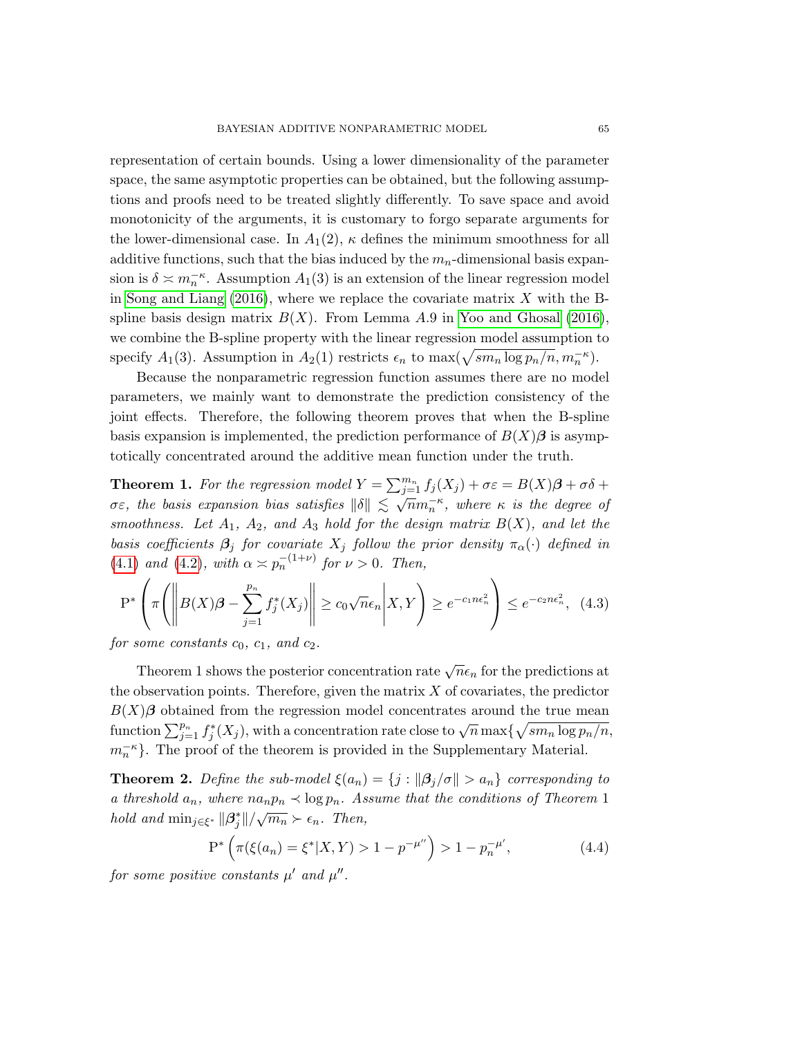representation of certain bounds. Using a lower dimensionality of the parameter space, the same asymptotic properties can be obtained, but the following assumptions and proofs need to be treated slightly differently. To save space and avoid monotonicity of the arguments, it is customary to forgo separate arguments for the lower-dimensional case. In  $A_1(2)$ ,  $\kappa$  defines the minimum smoothness for all additive functions, such that the bias induced by the  $m_n$ -dimensional basis expansion is  $\delta \asymp m_n^{-\kappa}$ . Assumption  $A_1(3)$  is an extension of the linear regression model in [Song and Liang](#page-23-13)  $(2016)$ , where we replace the covariate matrix X with the Bspline basis design matrix  $B(X)$ . From Lemma A.9 in [Yoo and Ghosal](#page-24-2) [\(2016\)](#page-24-2), we combine the B-spline property with the linear regression model assumption to specify  $A_1(3)$ . Assumption in  $A_2(1)$  restricts  $\epsilon_n$  to  $\max(\sqrt{sm_n \log p_n/n}, m_n^{-\kappa})$ .

Because the nonparametric regression function assumes there are no model parameters, we mainly want to demonstrate the prediction consistency of the joint effects. Therefore, the following theorem proves that when the B-spline basis expansion is implemented, the prediction performance of  $B(X)\beta$  is asymptotically concentrated around the additive mean function under the truth.

<span id="page-10-0"></span>**Theorem 1.** For the regression model  $Y = \sum_{j=1}^{m_n} f_j(X_j) + \sigma \varepsilon = B(X)\beta + \sigma \delta +$ **THEOTEM 1:** FOR the regression model  $I = \sum_{j=1}^{n} J_j(x_j) + \delta c = D(x_j)D + \delta \delta + \sigma \varepsilon$ , the basis expansion bias satisfies  $\|\delta\| \leq \sqrt{n}m_n^{-\kappa}$ , where  $\kappa$  is the degree of smoothness. Let  $A_1$ ,  $A_2$ , and  $A_3$  hold for the design matrix  $B(X)$ , and let the basis coefficients  $\beta_j$  for covariate  $X_j$  follow the prior density  $\pi_{\alpha}(\cdot)$  defined in [\(4.1\)](#page-9-0) and [\(4.2\)](#page-9-1), with  $\alpha \asymp p_n^{-(1+\nu)}$  for  $\nu > 0$ . Then,

$$
P^*\left(\pi\left(\left\|B(X)\beta - \sum_{j=1}^{p_n} f_j^*(X_j)\right\| \ge c_0\sqrt{n}\epsilon_n \middle| X, Y\right) \ge e^{-c_1 n \epsilon_n^2}\right) \le e^{-c_2 n \epsilon_n^2}, \tag{4.3}
$$

for some constants  $c_0$ ,  $c_1$ , and  $c_2$ .

Theorem [1](#page-10-0) shows the posterior concentration rate  $\sqrt{n}\epsilon_n$  for the predictions at the observation points. Therefore, given the matrix  $X$  of covariates, the predictor  $B(X)\beta$  obtained from the regression model concentrates around the true mean function  $\sum_{j=1}^{p_n} f_j^*(X_j)$ , with a concentration rate close to  $\sqrt{n} \max\{\sqrt{sm_n \log p_n/n},\}$  $m_n^{-\kappa}$ . The proof of the theorem is provided in the Supplementary Material.

<span id="page-10-1"></span>**Theorem 2.** Define the sub-model  $\xi(a_n) = \{j : ||\beta_j/\sigma|| > a_n\}$  corresponding to a threshold  $a_n$ , where  $na_np_n \prec \log p_n$ . Assume that the conditions of Theorem [1](#page-10-0) hold and  $\min_{j \in \xi^*} ||\beta_j^*|| / \sqrt{m_n} \succ \epsilon_n$ . Then,

$$
P^*\left(\pi(\xi(a_n) = \xi^*|X, Y) > 1 - p^{-\mu''}\right) > 1 - p_n^{-\mu'},\tag{4.4}
$$

for some positive constants  $\mu'$  and  $\mu''$ .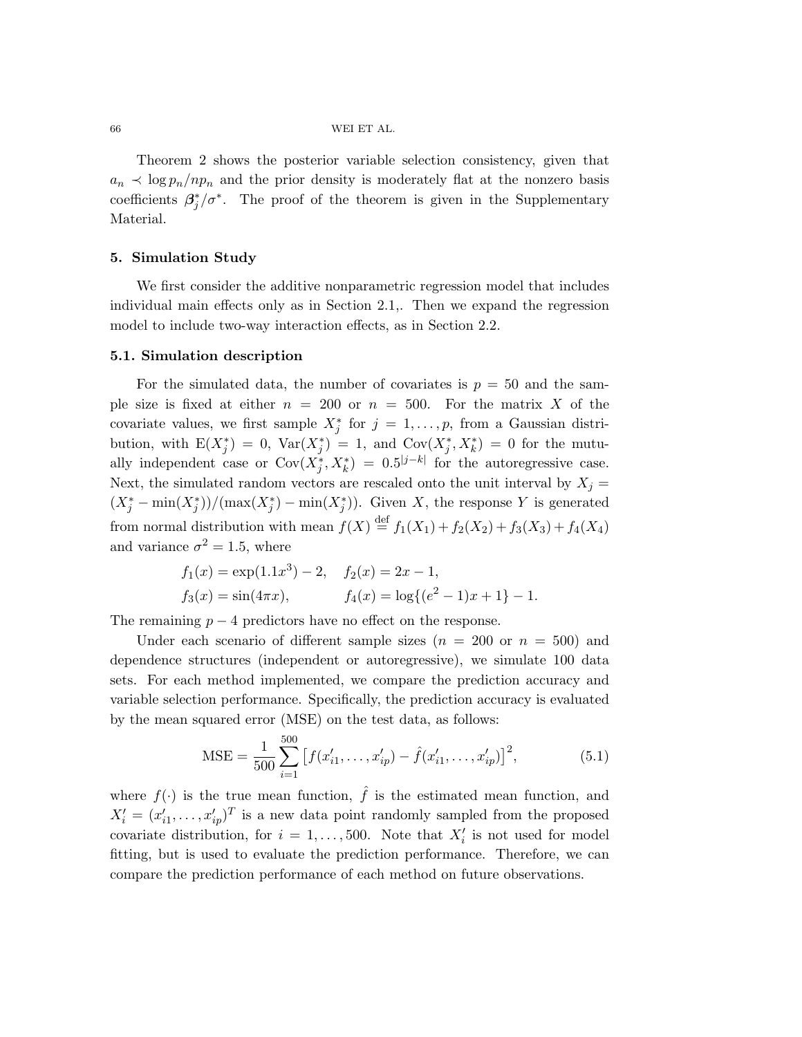Theorem [2](#page-10-1) shows the posterior variable selection consistency, given that  $a_n \prec \log p_n/np_n$  and the prior density is moderately flat at the nonzero basis coefficients  $\beta_j^*/\sigma^*$ . The proof of the theorem is given in the Supplementary Material.

## 5. Simulation Study

We first consider the additive nonparametric regression model that includes individual main effects only as in Section [2.1,](#page-3-2). Then we expand the regression model to include two-way interaction effects, as in Section [2.2.](#page-4-0)

#### 5.1. Simulation description

For the simulated data, the number of covariates is  $p = 50$  and the sample size is fixed at either  $n = 200$  or  $n = 500$ . For the matrix X of the covariate values, we first sample  $X_j^*$  for  $j = 1, \ldots, p$ , from a Gaussian distribution, with  $E(X_j^*) = 0$ ,  $Var(X_j^*) = 1$ , and  $Cov(X_j^*, X_k^*) = 0$  for the mutually independent case or  $Cov(X_j^*, X_k^*) = 0.5^{|j-k|}$  for the autoregressive case. Next, the simulated random vectors are rescaled onto the unit interval by  $X_j =$  $(X_j^* - \min(X_j^*))/(\max(X_j^*) - \min(X_j^*))$ . Given X, the response Y is generated from normal distribution with mean  $f(X) \stackrel{\text{def}}{=} f_1(X_1) + f_2(X_2) + f_3(X_3) + f_4(X_4)$ and variance  $\sigma^2 = 1.5$ , where

$$
f_1(x) = \exp(1.1x^3) - 2
$$
,  $f_2(x) = 2x - 1$ ,  
\n $f_3(x) = \sin(4\pi x)$ ,  $f_4(x) = \log\{(e^2 - 1)x + 1\} - 1$ .

The remaining  $p - 4$  predictors have no effect on the response.

Under each scenario of different sample sizes  $(n = 200 \text{ or } n = 500)$  and dependence structures (independent or autoregressive), we simulate 100 data sets. For each method implemented, we compare the prediction accuracy and variable selection performance. Specifically, the prediction accuracy is evaluated by the mean squared error (MSE) on the test data, as follows:

$$
\text{MSE} = \frac{1}{500} \sum_{i=1}^{500} \left[ f(x'_{i1}, \dots, x'_{ip}) - \hat{f}(x'_{i1}, \dots, x'_{ip}) \right]^2, \tag{5.1}
$$

where  $f(\cdot)$  is the true mean function,  $\hat{f}$  is the estimated mean function, and  $X_i' = (x_{i1}', \ldots, x_{ip}')^T$  is a new data point randomly sampled from the proposed covariate distribution, for  $i = 1, ..., 500$ . Note that  $X_i'$  is not used for model fitting, but is used to evaluate the prediction performance. Therefore, we can compare the prediction performance of each method on future observations.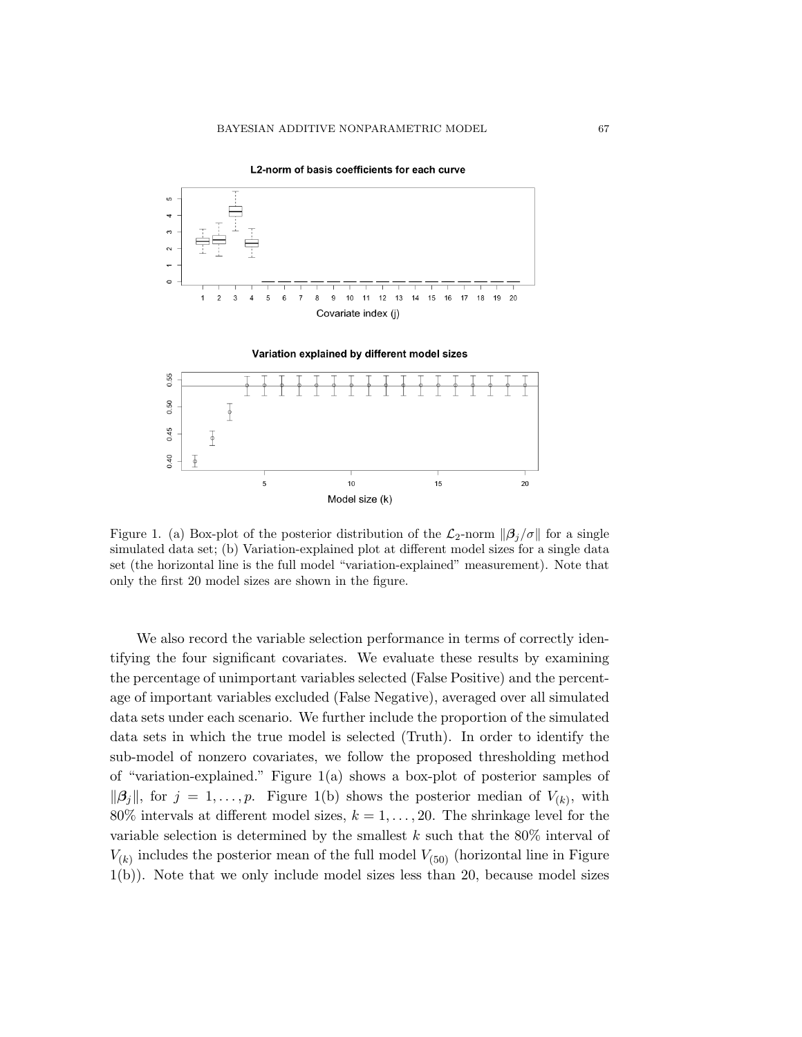

L2-norm of basis coefficients for each curve



Figure 1. (a) Box-plot of the posterior distribution of the  $\mathcal{L}_2$ -norm  $\|\beta_i/\sigma\|$  for a single simulated data set; (b) Variation-explained plot at different model sizes for a single data set (the horizontal line is the full model "variation-explained" measurement). Note that only the first 20 model sizes are shown in the figure.

We also record the variable selection performance in terms of correctly identifying the four significant covariates. We evaluate these results by examining the percentage of unimportant variables selected (False Positive) and the percentage of important variables excluded (False Negative), averaged over all simulated data sets under each scenario. We further include the proportion of the simulated data sets in which the true model is selected (Truth). In order to identify the sub-model of nonzero covariates, we follow the proposed thresholding method of "variation-explained." Figure 1(a) shows a box-plot of posterior samples of  $\|\boldsymbol{\beta}_j\|$ , for  $j = 1, \ldots, p$ . Figure 1(b) shows the posterior median of  $V_{(k)}$ , with 80% intervals at different model sizes,  $k = 1, \ldots, 20$ . The shrinkage level for the variable selection is determined by the smallest  $k$  such that the 80% interval of  $V_{(k)}$  includes the posterior mean of the full model  $V_{(50)}$  (horizontal line in Figure 1(b)). Note that we only include model sizes less than 20, because model sizes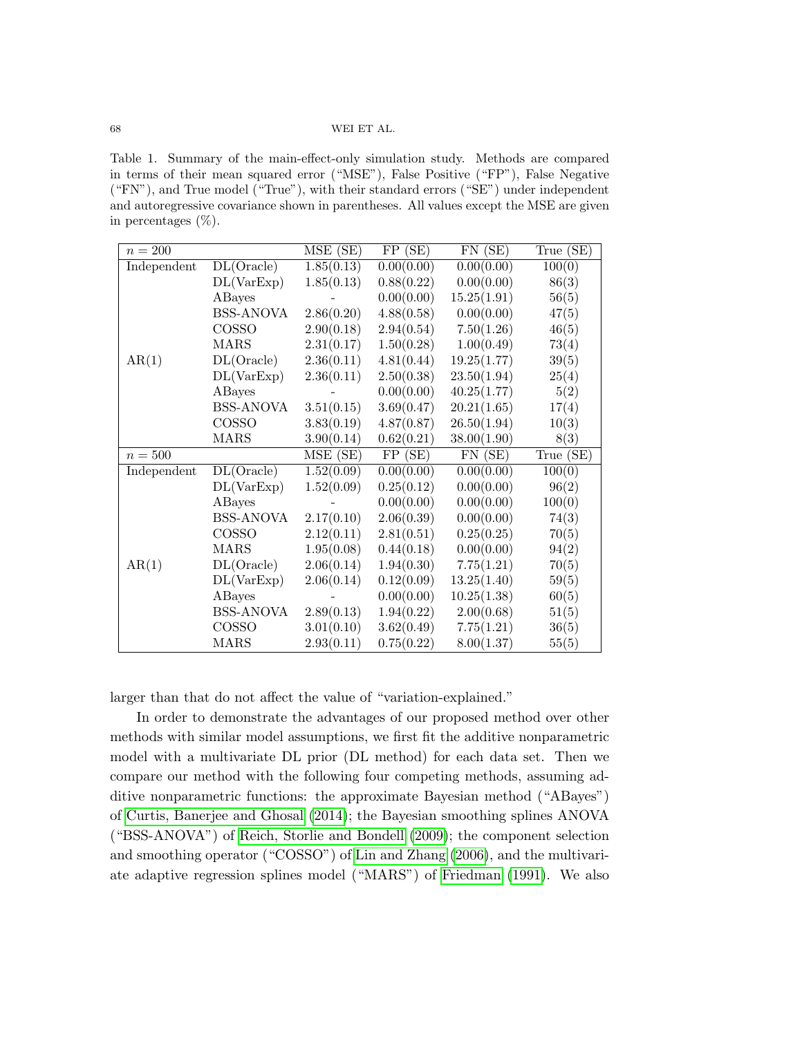<span id="page-13-0"></span>Table 1. Summary of the main-effect-only simulation study. Methods are compared in terms of their mean squared error ("MSE"), False Positive ("FP"), False Negative ("FN"), and True model ("True"), with their standard errors ("SE") under independent and autoregressive covariance shown in parentheses. All values except the MSE are given in percentages  $(\%)$ .

| $n = 200$   |                  | MSE (SE)   | FP(SE)     | $FN$ (SE)                         | True (SE) |
|-------------|------------------|------------|------------|-----------------------------------|-----------|
| Independent | DL(Oracle)       | 1.85(0.13) | 0.00(0.00) | 0.00(0.00)                        | 100(0)    |
|             | DL(VarExp)       | 1.85(0.13) | 0.88(0.22) | 0.00(0.00)                        | 86(3)     |
|             | ABayes           |            | 0.00(0.00) | 15.25(1.91)                       | 56(5)     |
|             | <b>BSS-ANOVA</b> | 2.86(0.20) | 4.88(0.58) | 0.00(0.00)                        | 47(5)     |
|             | COSSO            | 2.90(0.18) | 2.94(0.54) | 7.50(1.26)                        | 46(5)     |
|             | <b>MARS</b>      | 2.31(0.17) | 1.50(0.28) | 1.00(0.49)                        | 73(4)     |
| AR(1)       | DL(Oracle)       | 2.36(0.11) | 4.81(0.44) | 19.25(1.77)                       | 39(5)     |
|             | DL(VarExp)       | 2.36(0.11) | 2.50(0.38) | 23.50(1.94)                       | 25(4)     |
|             | ABayes           |            | 0.00(0.00) | 40.25(1.77)                       | 5(2)      |
|             | <b>BSS-ANOVA</b> | 3.51(0.15) | 3.69(0.47) | 20.21(1.65)                       | 17(4)     |
|             | COSSO            | 3.83(0.19) | 4.87(0.87) | 26.50(1.94)                       | 10(3)     |
|             | <b>MARS</b>      | 3.90(0.14) | 0.62(0.21) | 38.00(1.90)                       | 8(3)      |
| $n=500$     |                  | MSE(SE)    | FP(SE)     | $\overline{\text{FN}(\text{SE})}$ | True (SE) |
| Independent | DL(Oracle)       | 1.52(0.09) | 0.00(0.00) | 0.00(0.00)                        | 100(0)    |
|             | DL(VarExp)       | 1.52(0.09) | 0.25(0.12) | 0.00(0.00)                        | 96(2)     |
|             | ABayes           |            | 0.00(0.00) | 0.00(0.00)                        | 100(0)    |
|             | <b>BSS-ANOVA</b> | 2.17(0.10) | 2.06(0.39) | 0.00(0.00)                        | 74(3)     |
|             | COSSO            | 2.12(0.11) | 2.81(0.51) | 0.25(0.25)                        | 70(5)     |
| AR(1)       | <b>MARS</b>      | 1.95(0.08) | 0.44(0.18) | 0.00(0.00)                        | 94(2)     |
|             | DL(Oracle)       | 2.06(0.14) | 1.94(0.30) | 7.75(1.21)                        | 70(5)     |
|             | DL(VarExp)       | 2.06(0.14) | 0.12(0.09) | 13.25(1.40)                       | 59(5)     |
|             | ABayes           |            | 0.00(0.00) | 10.25(1.38)                       | 60(5)     |
|             | <b>BSS-ANOVA</b> | 2.89(0.13) | 1.94(0.22) | 2.00(0.68)                        | 51(5)     |
|             | COSSO            | 3.01(0.10) | 3.62(0.49) | 7.75(1.21)                        | 36(5)     |
|             | <b>MARS</b>      | 2.93(0.11) | 0.75(0.22) | 8.00(1.37)                        | 55(5)     |

larger than that do not affect the value of "variation-explained."

In order to demonstrate the advantages of our proposed method over other methods with similar model assumptions, we first fit the additive nonparametric model with a multivariate DL prior (DL method) for each data set. Then we compare our method with the following four competing methods, assuming additive nonparametric functions: the approximate Bayesian method ("ABayes") of [Curtis, Banerjee and Ghosal](#page-23-7) [\(2014\)](#page-23-7); the Bayesian smoothing splines ANOVA ("BSS-ANOVA") of [Reich, Storlie and Bondell](#page-23-4) [\(2009\)](#page-23-4); the component selection and smoothing operator ("COSSO") of [Lin and Zhang](#page-23-1) [\(2006\)](#page-23-1), and the multivariate adaptive regression splines model ("MARS") of [Friedman](#page-23-0) [\(1991\)](#page-23-0). We also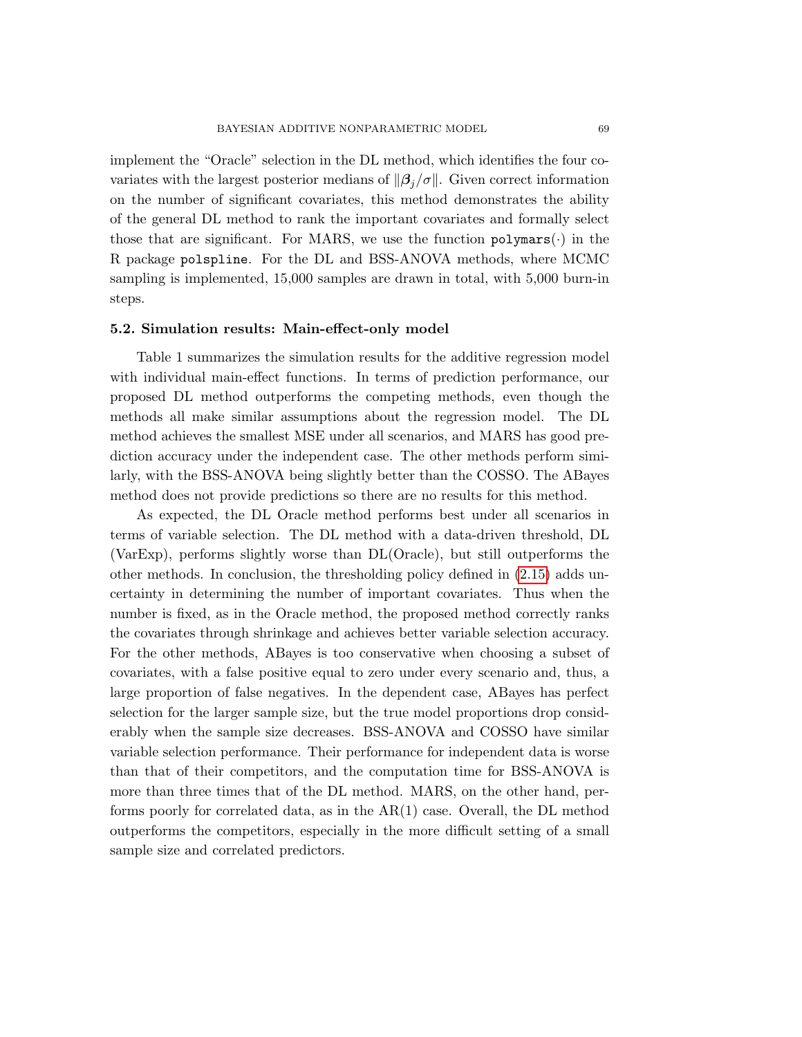implement the "Oracle" selection in the DL method, which identifies the four covariates with the largest posterior medians of  $\|\beta_i/\sigma\|$ . Given correct information on the number of significant covariates, this method demonstrates the ability of the general DL method to rank the important covariates and formally select those that are significant. For MARS, we use the function  $\text{polymars}(\cdot)$  in the R package polspline. For the DL and BSS-ANOVA methods, where MCMC sampling is implemented, 15,000 samples are drawn in total, with 5,000 burn-in steps.

## 5.2. Simulation results: Main-effect-only model

Table [1](#page-13-0) summarizes the simulation results for the additive regression model with individual main-effect functions. In terms of prediction performance, our proposed DL method outperforms the competing methods, even though the methods all make similar assumptions about the regression model. The DL method achieves the smallest MSE under all scenarios, and MARS has good prediction accuracy under the independent case. The other methods perform similarly, with the BSS-ANOVA being slightly better than the COSSO. The ABayes method does not provide predictions so there are no results for this method.

As expected, the DL Oracle method performs best under all scenarios in terms of variable selection. The DL method with a data-driven threshold, DL (VarExp), performs slightly worse than DL(Oracle), but still outperforms the other methods. In conclusion, the thresholding policy defined in [\(2.15\)](#page-7-0) adds uncertainty in determining the number of important covariates. Thus when the number is fixed, as in the Oracle method, the proposed method correctly ranks the covariates through shrinkage and achieves better variable selection accuracy. For the other methods, ABayes is too conservative when choosing a subset of covariates, with a false positive equal to zero under every scenario and, thus, a large proportion of false negatives. In the dependent case, ABayes has perfect selection for the larger sample size, but the true model proportions drop considerably when the sample size decreases. BSS-ANOVA and COSSO have similar variable selection performance. Their performance for independent data is worse than that of their competitors, and the computation time for BSS-ANOVA is more than three times that of the DL method. MARS, on the other hand, performs poorly for correlated data, as in the AR(1) case. Overall, the DL method outperforms the competitors, especially in the more difficult setting of a small sample size and correlated predictors.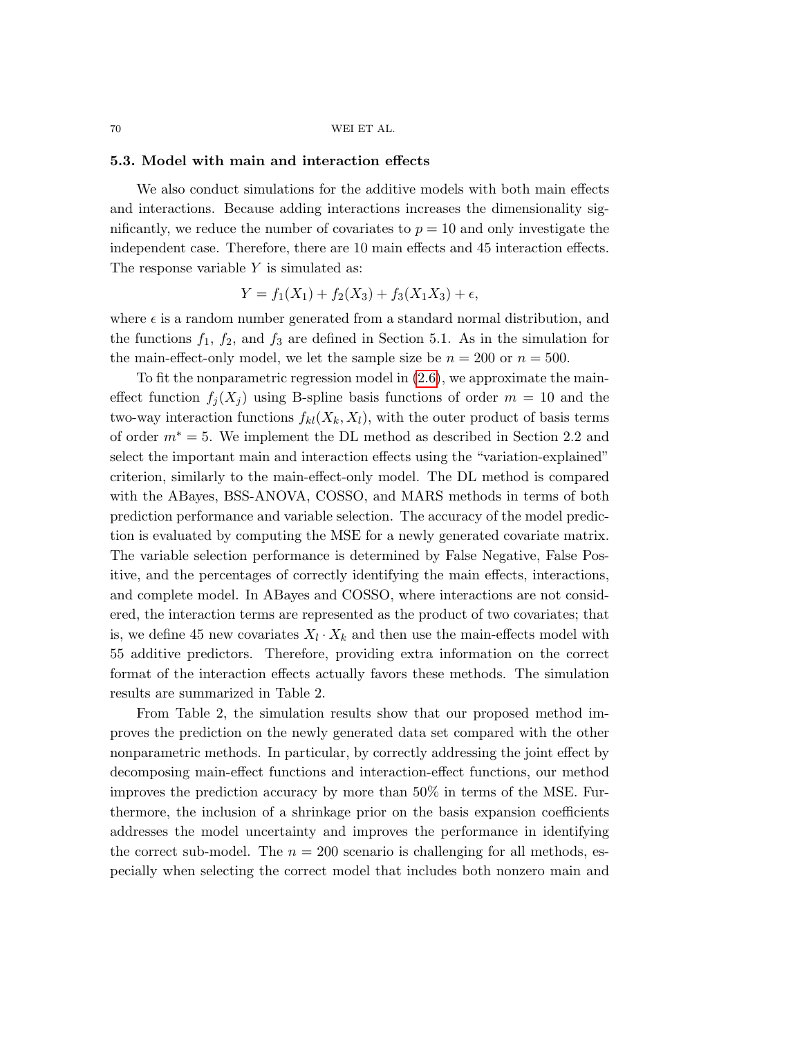#### 5.3. Model with main and interaction effects

We also conduct simulations for the additive models with both main effects and interactions. Because adding interactions increases the dimensionality significantly, we reduce the number of covariates to  $p = 10$  and only investigate the independent case. Therefore, there are 10 main effects and 45 interaction effects. The response variable Y is simulated as:

$$
Y = f_1(X_1) + f_2(X_3) + f_3(X_1X_3) + \epsilon,
$$

where  $\epsilon$  is a random number generated from a standard normal distribution, and the functions  $f_1$ ,  $f_2$ , and  $f_3$  are defined in Section 5.1. As in the simulation for the main-effect-only model, we let the sample size be  $n = 200$  or  $n = 500$ .

To fit the nonparametric regression model in [\(2.6\)](#page-5-0), we approximate the maineffect function  $f_i(X_i)$  using B-spline basis functions of order  $m = 10$  and the two-way interaction functions  $f_{kl}(X_k, X_l)$ , with the outer product of basis terms of order  $m^* = 5$ . We implement the DL method as described in Section 2.2 and select the important main and interaction effects using the "variation-explained" criterion, similarly to the main-effect-only model. The DL method is compared with the ABayes, BSS-ANOVA, COSSO, and MARS methods in terms of both prediction performance and variable selection. The accuracy of the model prediction is evaluated by computing the MSE for a newly generated covariate matrix. The variable selection performance is determined by False Negative, False Positive, and the percentages of correctly identifying the main effects, interactions, and complete model. In ABayes and COSSO, where interactions are not considered, the interaction terms are represented as the product of two covariates; that is, we define 45 new covariates  $X_l \cdot X_k$  and then use the main-effects model with 55 additive predictors. Therefore, providing extra information on the correct format of the interaction effects actually favors these methods. The simulation results are summarized in Table [2.](#page-16-0)

From Table [2,](#page-16-0) the simulation results show that our proposed method improves the prediction on the newly generated data set compared with the other nonparametric methods. In particular, by correctly addressing the joint effect by decomposing main-effect functions and interaction-effect functions, our method improves the prediction accuracy by more than 50% in terms of the MSE. Furthermore, the inclusion of a shrinkage prior on the basis expansion coefficients addresses the model uncertainty and improves the performance in identifying the correct sub-model. The  $n = 200$  scenario is challenging for all methods, especially when selecting the correct model that includes both nonzero main and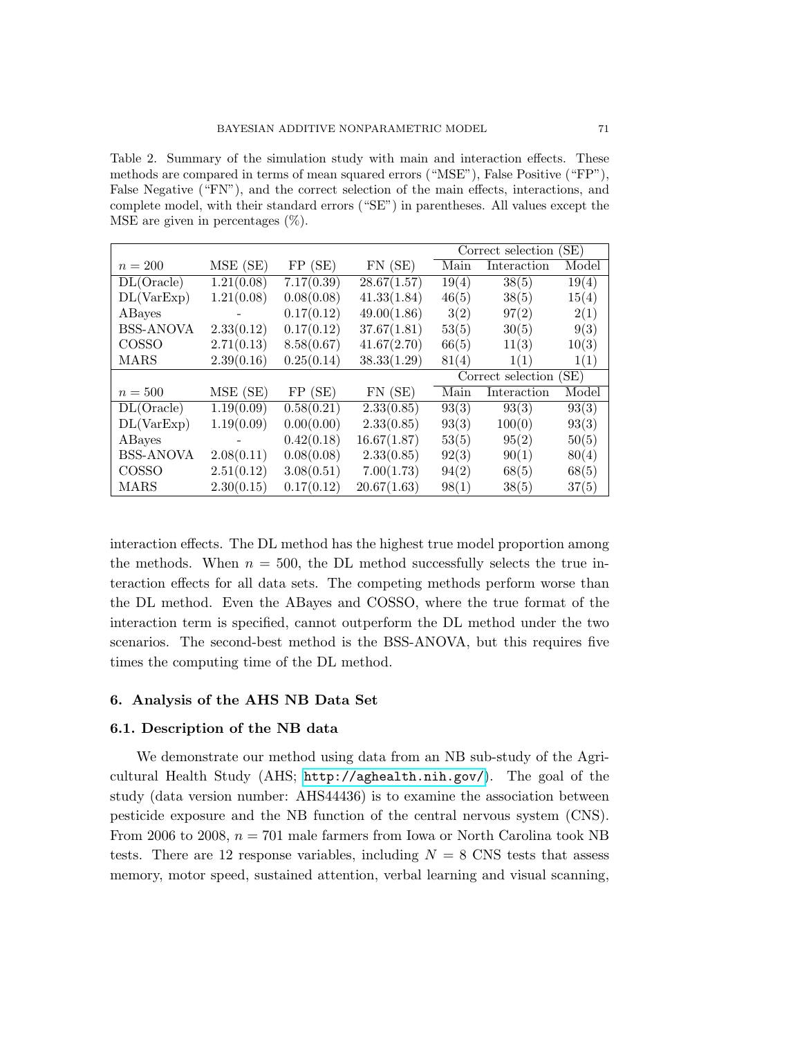<span id="page-16-0"></span>Table 2. Summary of the simulation study with main and interaction effects. These methods are compared in terms of mean squared errors ("MSE"), False Positive ("FP"), False Negative ("FN"), and the correct selection of the main effects, interactions, and complete model, with their standard errors ("SE") in parentheses. All values except the MSE are given in percentages  $(\%)$ .

|                  |                |            |             | SE)<br>Correct selection  |             |       |
|------------------|----------------|------------|-------------|---------------------------|-------------|-------|
| $n = 200$        | MSE (SE)       | FP(SE)     | $FN$ (SE)   | Main                      | Interaction | Model |
| DL(Oracle)       | 1.21(0.08)     | 7.17(0.39) | 28.67(1.57) | 19(4)                     | 38(5)       | 19(4) |
| DL(VarExp)       | 1.21(0.08)     | 0.08(0.08) | 41.33(1.84) | 46(5)                     | 38(5)       | 15(4) |
| ABayes           |                | 0.17(0.12) | 49.00(1.86) | 3(2)                      | 97(2)       | 2(1)  |
| <b>BSS-ANOVA</b> | 2.33(0.12)     | 0.17(0.12) | 37.67(1.81) | 53(5)                     | 30(5)       | 9(3)  |
| COSSO            | 2.71(0.13)     | 8.58(0.67) | 41.67(2.70) | 66(5)                     | 11(3)       | 10(3) |
| MARS             | 2.39(0.16)     | 0.25(0.14) | 38.33(1.29) | 81(4)                     | 1(1)        | 1(1)  |
|                  |                |            |             | (SE)<br>Correct selection |             |       |
| $n=500$          | MSE (SE)       | FP(SE)     | $FN$ (SE)   | Main                      | Interaction | Model |
| DL(Oracle)       | 1.19(0.09)     | 0.58(0.21) | 2.33(0.85)  | 93(3)                     | 93(3)       | 93(3) |
| DL(VarExp)       | 1.19(0.09)     | 0.00(0.00) | 2.33(0.85)  | 93(3)                     | 100(0)      | 93(3) |
| ABayes           | $\overline{a}$ | 0.42(0.18) | 16.67(1.87) | 53(5)                     | 95(2)       | 50(5) |
| <b>BSS-ANOVA</b> | 2.08(0.11)     | 0.08(0.08) | 2.33(0.85)  | 92(3)                     | 90(1)       | 80(4) |
| COSSO            | 2.51(0.12)     | 3.08(0.51) | 7.00(1.73)  | 94(2)                     | 68(5)       | 68(5) |
| MARS             | 2.30(0.15)     | 0.17(0.12) | 20.67(1.63) | 98(1)                     | 38(5)       | 37(5) |

interaction effects. The DL method has the highest true model proportion among the methods. When  $n = 500$ , the DL method successfully selects the true interaction effects for all data sets. The competing methods perform worse than the DL method. Even the ABayes and COSSO, where the true format of the interaction term is specified, cannot outperform the DL method under the two scenarios. The second-best method is the BSS-ANOVA, but this requires five times the computing time of the DL method.

#### 6. Analysis of the AHS NB Data Set

## 6.1. Description of the NB data

We demonstrate our method using data from an NB sub-study of the Agricultural Health Study (AHS; <http://aghealth.nih.gov/>). The goal of the study (data version number: AHS44436) is to examine the association between pesticide exposure and the NB function of the central nervous system (CNS). From 2006 to 2008,  $n = 701$  male farmers from Iowa or North Carolina took NB tests. There are 12 response variables, including  $N = 8$  CNS tests that assess memory, motor speed, sustained attention, verbal learning and visual scanning,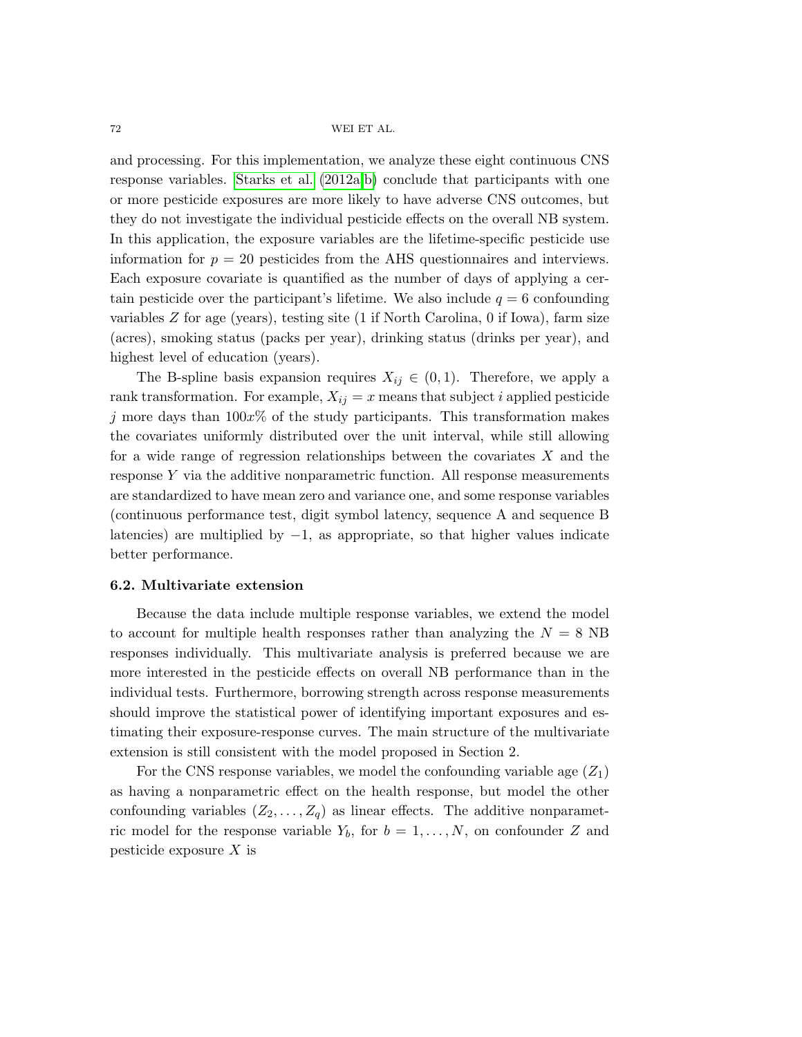and processing. For this implementation, we analyze these eight continuous CNS response variables. [Starks et al.](#page-24-0) [\(2012a,](#page-24-0)[b\)](#page-24-1) conclude that participants with one or more pesticide exposures are more likely to have adverse CNS outcomes, but they do not investigate the individual pesticide effects on the overall NB system. In this application, the exposure variables are the lifetime-specific pesticide use information for  $p = 20$  pesticides from the AHS questionnaires and interviews. Each exposure covariate is quantified as the number of days of applying a certain pesticide over the participant's lifetime. We also include  $q = 6$  confounding variables Z for age (years), testing site (1 if North Carolina, 0 if Iowa), farm size (acres), smoking status (packs per year), drinking status (drinks per year), and highest level of education (years).

The B-spline basis expansion requires  $X_{ij} \in (0,1)$ . Therefore, we apply a rank transformation. For example,  $X_{ij} = x$  means that subject i applied pesticide j more days than  $100x\%$  of the study participants. This transformation makes the covariates uniformly distributed over the unit interval, while still allowing for a wide range of regression relationships between the covariates  $X$  and the response Y via the additive nonparametric function. All response measurements are standardized to have mean zero and variance one, and some response variables (continuous performance test, digit symbol latency, sequence A and sequence B latencies) are multiplied by  $-1$ , as appropriate, so that higher values indicate better performance.

## 6.2. Multivariate extension

Because the data include multiple response variables, we extend the model to account for multiple health responses rather than analyzing the  $N = 8$  NB responses individually. This multivariate analysis is preferred because we are more interested in the pesticide effects on overall NB performance than in the individual tests. Furthermore, borrowing strength across response measurements should improve the statistical power of identifying important exposures and estimating their exposure-response curves. The main structure of the multivariate extension is still consistent with the model proposed in Section 2.

For the CNS response variables, we model the confounding variable age  $(Z_1)$ as having a nonparametric effect on the health response, but model the other confounding variables  $(Z_2, \ldots, Z_q)$  as linear effects. The additive nonparametric model for the response variable  $Y_b$ , for  $b = 1, ..., N$ , on confounder Z and pesticide exposure  $X$  is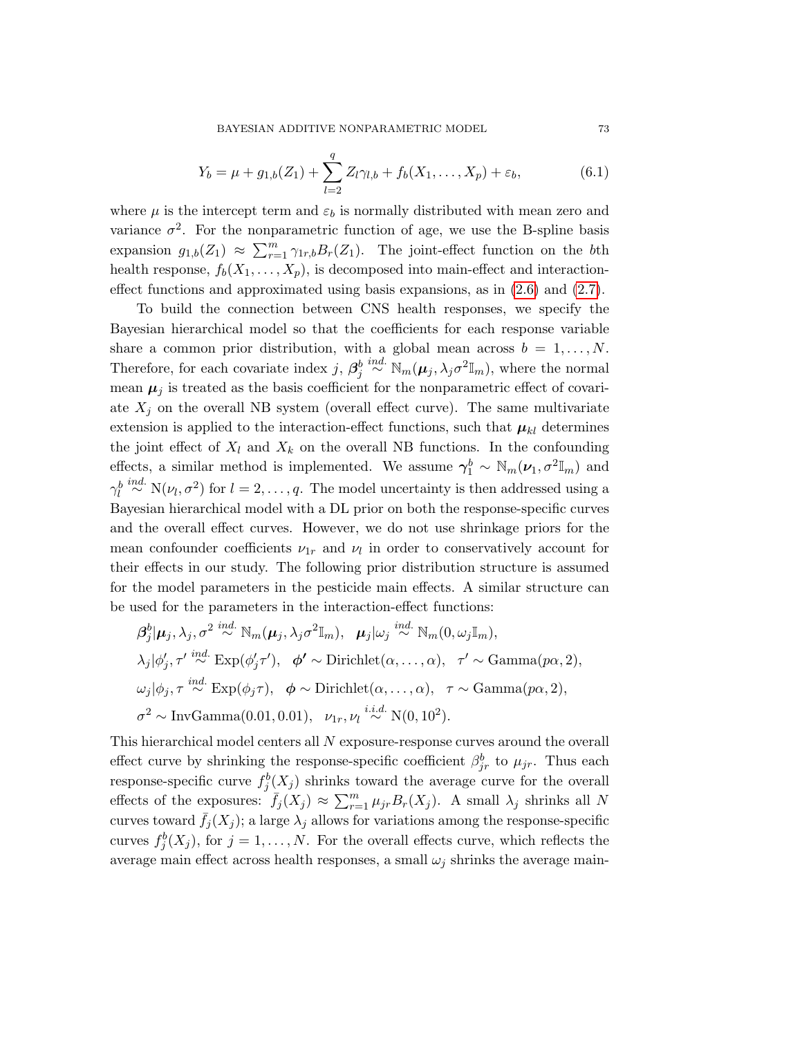BAYESIAN ADDITIVE NONPARAMETRIC MODEL 73

$$
Y_b = \mu + g_{1,b}(Z_1) + \sum_{l=2}^{q} Z_l \gamma_{l,b} + f_b(X_1, \dots, X_p) + \varepsilon_b,
$$
\n(6.1)

where  $\mu$  is the intercept term and  $\varepsilon_b$  is normally distributed with mean zero and variance  $\sigma^2$ . For the nonparametric function of age, we use the B-spline basis expansion  $g_{1,b}(Z_1) \approx \sum_{r=1}^m \gamma_{1r,b} B_r(Z_1)$ . The joint-effect function on the bth health response,  $f_b(X_1, \ldots, X_p)$ , is decomposed into main-effect and interactioneffect functions and approximated using basis expansions, as in  $(2.6)$  and  $(2.7)$ .

To build the connection between CNS health responses, we specify the Bayesian hierarchical model so that the coefficients for each response variable share a common prior distribution, with a global mean across  $b = 1, \ldots, N$ . Therefore, for each covariate index  $j, \beta_j^b \stackrel{ind.}{\sim} \mathbb{N}_m(\mu_j, \lambda_j \sigma^2 \mathbb{I}_m)$ , where the normal mean  $\mu_j$  is treated as the basis coefficient for the nonparametric effect of covariate  $X_j$  on the overall NB system (overall effect curve). The same multivariate extension is applied to the interaction-effect functions, such that  $\mu_{kl}$  determines the joint effect of  $X_l$  and  $X_k$  on the overall NB functions. In the confounding effects, a similar method is implemented. We assume  $\gamma_1^b \sim \mathbb{N}_m(\nu_1, \sigma^2 \mathbb{I}_m)$  and  $\gamma_l^b \stackrel{ind.}{\sim} N(\nu_l, \sigma^2)$  for  $l = 2, \ldots, q$ . The model uncertainty is then addressed using a Bayesian hierarchical model with a DL prior on both the response-specific curves and the overall effect curves. However, we do not use shrinkage priors for the mean confounder coefficients  $\nu_{1r}$  and  $\nu_l$  in order to conservatively account for their effects in our study. The following prior distribution structure is assumed for the model parameters in the pesticide main effects. A similar structure can be used for the parameters in the interaction-effect functions:

$$
\beta_j^b | \mu_j, \lambda_j, \sigma^2 \stackrel{ind.}{\sim} \mathbb{N}_m(\mu_j, \lambda_j \sigma^2 \mathbb{I}_m), \quad \mu_j | \omega_j \stackrel{ind.}{\sim} \mathbb{N}_m(0, \omega_j \mathbb{I}_m),
$$
  
\n
$$
\lambda_j | \phi'_j, \tau' \stackrel{ind.}{\sim} \text{Exp}(\phi'_j \tau'), \quad \phi' \sim \text{Dirichlet}(\alpha, \dots, \alpha), \quad \tau' \sim \text{Gamma}(p\alpha, 2),
$$
  
\n
$$
\omega_j | \phi_j, \tau \stackrel{ind.}{\sim} \text{Exp}(\phi_j \tau), \quad \phi \sim \text{Dirichlet}(\alpha, \dots, \alpha), \quad \tau \sim \text{Gamma}(p\alpha, 2),
$$
  
\n
$$
\sigma^2 \sim \text{InvGamma}(0.01, 0.01), \quad \nu_{1r}, \nu_l \stackrel{i.i.d.}{\sim} \mathbb{N}(0, 10^2).
$$

This hierarchical model centers all N exposure-response curves around the overall effect curve by shrinking the response-specific coefficient  $\beta_{jr}^b$  to  $\mu_{jr}$ . Thus each response-specific curve  $f_j^b(X_j)$  shrinks toward the average curve for the overall effects of the exposures:  $\bar{f}_j(X_j) \approx \sum_{r=1}^m \mu_{jr} B_r(X_j)$ . A small  $\lambda_j$  shrinks all N curves toward  $\bar{f}_j(X_j)$ ; a large  $\lambda_j$  allows for variations among the response-specific curves  $f_j^b(X_j)$ , for  $j = 1, ..., N$ . For the overall effects curve, which reflects the average main effect across health responses, a small  $\omega_i$  shrinks the average main-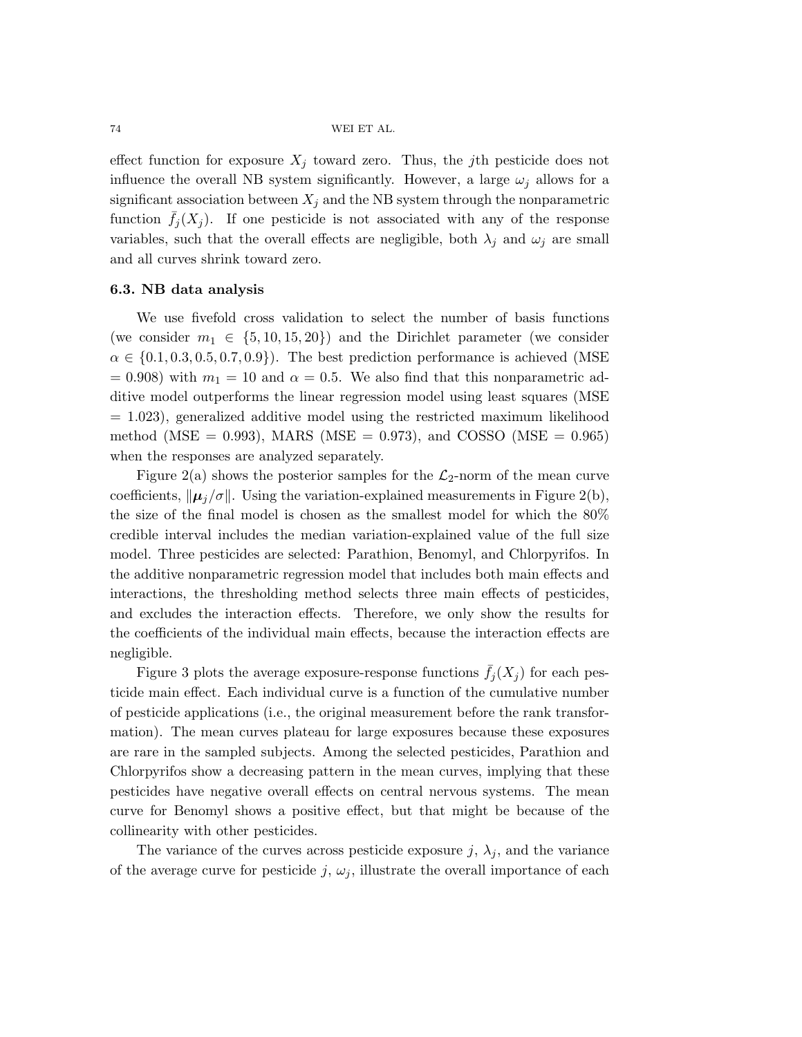effect function for exposure  $X_j$  toward zero. Thus, the jth pesticide does not influence the overall NB system significantly. However, a large  $\omega_i$  allows for a significant association between  $X_j$  and the NB system through the nonparametric function  $f_i(X_i)$ . If one pesticide is not associated with any of the response variables, such that the overall effects are negligible, both  $\lambda_j$  and  $\omega_j$  are small and all curves shrink toward zero.

## 6.3. NB data analysis

We use fivefold cross validation to select the number of basis functions (we consider  $m_1 \in \{5, 10, 15, 20\}$ ) and the Dirichlet parameter (we consider  $\alpha \in \{0.1, 0.3, 0.5, 0.7, 0.9\}$ . The best prediction performance is achieved (MSE)  $= 0.908$ ) with  $m_1 = 10$  and  $\alpha = 0.5$ . We also find that this nonparametric additive model outperforms the linear regression model using least squares (MSE  $= 1.023$ , generalized additive model using the restricted maximum likelihood method (MSE = 0.993), MARS (MSE = 0.973), and COSSO (MSE = 0.965) when the responses are analyzed separately.

Figure [2\(](#page-20-0)a) shows the posterior samples for the  $\mathcal{L}_2$ -norm of the mean curve coefficients,  $\|\mu_i/\sigma\|$ . Using the variation-explained measurements in Figure [2\(](#page-20-0)b), the size of the final model is chosen as the smallest model for which the 80% credible interval includes the median variation-explained value of the full size model. Three pesticides are selected: Parathion, Benomyl, and Chlorpyrifos. In the additive nonparametric regression model that includes both main effects and interactions, the thresholding method selects three main effects of pesticides, and excludes the interaction effects. Therefore, we only show the results for the coefficients of the individual main effects, because the interaction effects are negligible.

Figure [3](#page-21-0) plots the average exposure-response functions  $\bar{f}_j(X_j)$  for each pesticide main effect. Each individual curve is a function of the cumulative number of pesticide applications (i.e., the original measurement before the rank transformation). The mean curves plateau for large exposures because these exposures are rare in the sampled subjects. Among the selected pesticides, Parathion and Chlorpyrifos show a decreasing pattern in the mean curves, implying that these pesticides have negative overall effects on central nervous systems. The mean curve for Benomyl shows a positive effect, but that might be because of the collinearity with other pesticides.

The variance of the curves across pesticide exposure  $j, \lambda_j$ , and the variance of the average curve for pesticide j,  $\omega_j$ , illustrate the overall importance of each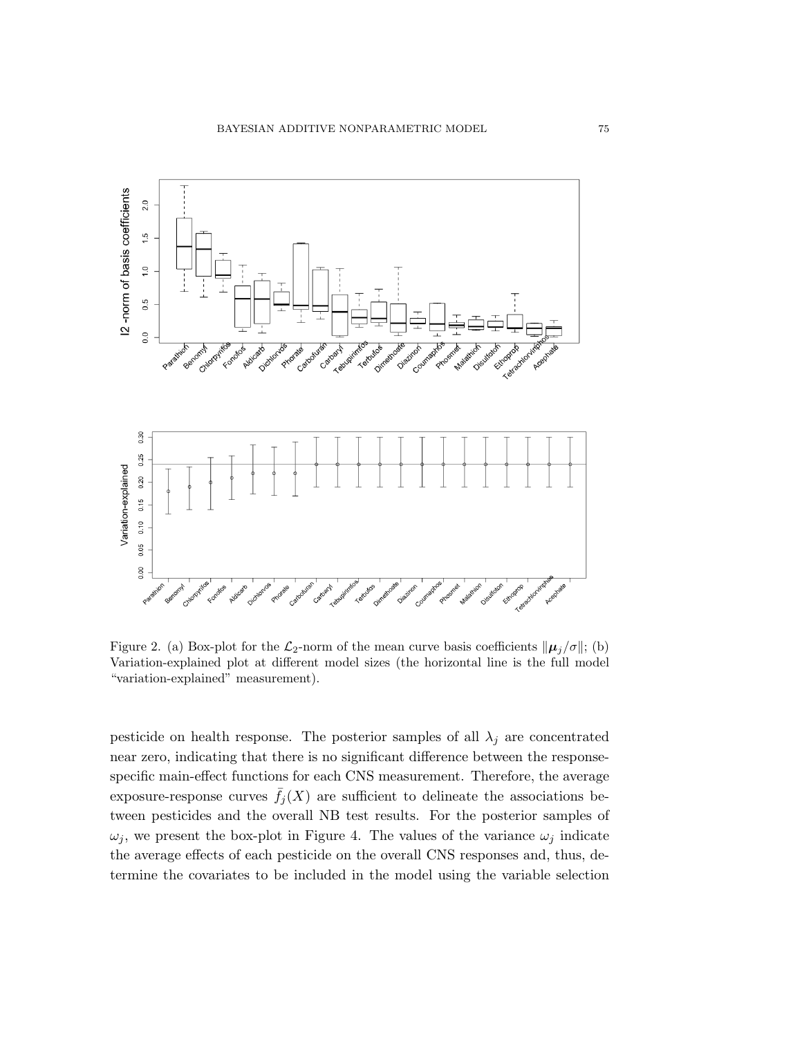<span id="page-20-0"></span>

Figure 2. (a) Box-plot for the  $\mathcal{L}_2$ -norm of the mean curve basis coefficients  $\|\mu_j/\sigma\|$ ; (b) Variation-explained plot at different model sizes (the horizontal line is the full model "variation-explained" measurement).

pesticide on health response. The posterior samples of all  $\lambda_j$  are concentrated near zero, indicating that there is no significant difference between the responsespecific main-effect functions for each CNS measurement. Therefore, the average exposure-response curves  $\bar{f}_j(X)$  are sufficient to delineate the associations between pesticides and the overall NB test results. For the posterior samples of  $\omega_j$ , we present the box-plot in Figure [4.](#page-21-1) The values of the variance  $\omega_j$  indicate the average effects of each pesticide on the overall CNS responses and, thus, determine the covariates to be included in the model using the variable selection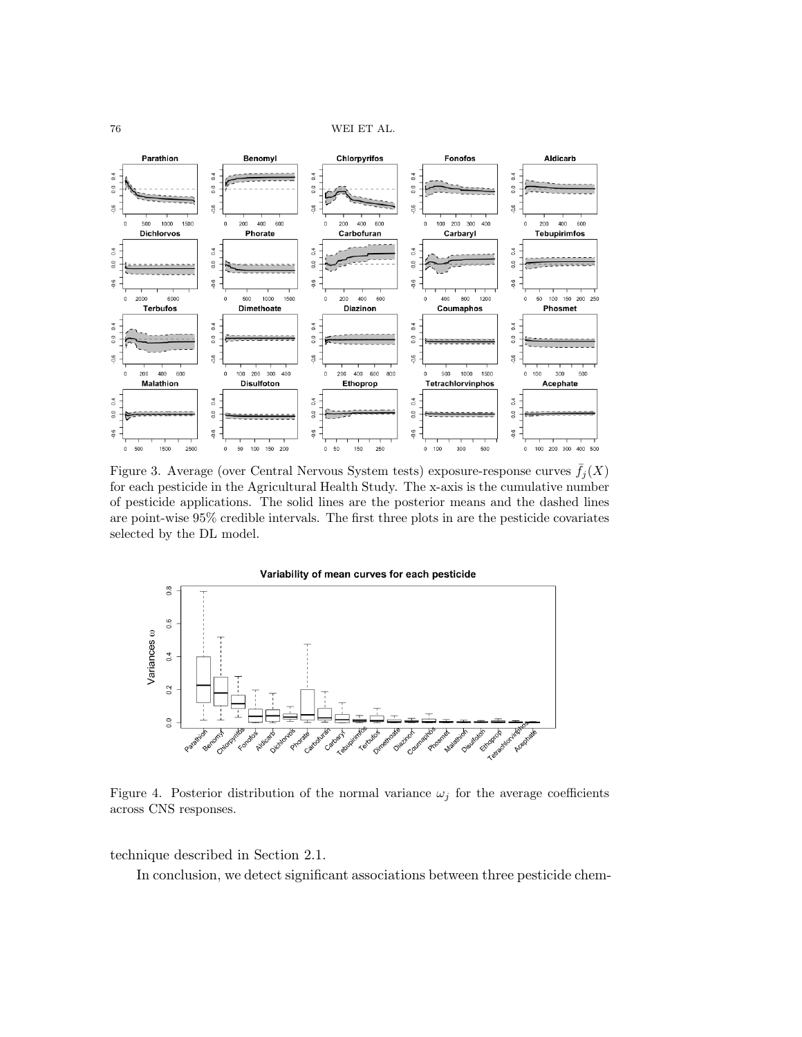<span id="page-21-0"></span>

Figure 3. Average (over Central Nervous System tests) exposure-response curves  $f_i(X)$ for each pesticide in the Agricultural Health Study. The x-axis is the cumulative number of pesticide applications. The solid lines are the posterior means and the dashed lines are point-wise 95% credible intervals. The first three plots in are the pesticide covariates selected by the DL model.

<span id="page-21-1"></span>

Figure 4. Posterior distribution of the normal variance  $\omega_j$  for the average coefficients across CNS responses.

technique described in Section 2.1.

In conclusion, we detect significant associations between three pesticide chem-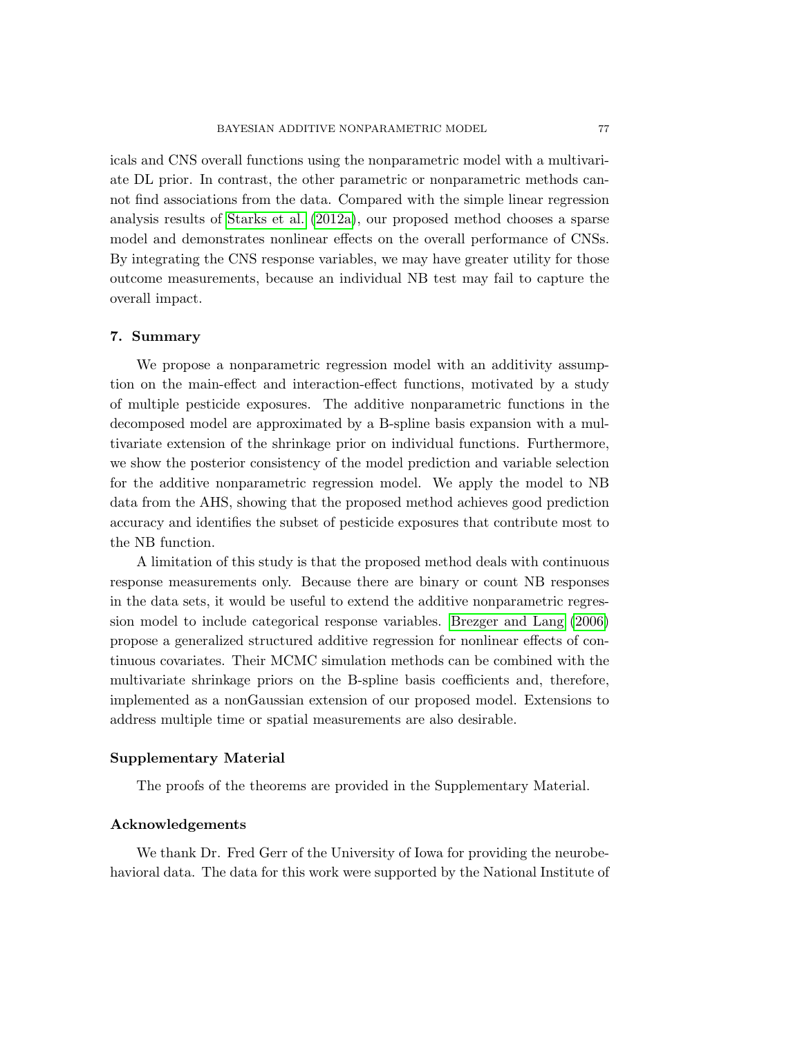icals and CNS overall functions using the nonparametric model with a multivariate DL prior. In contrast, the other parametric or nonparametric methods cannot find associations from the data. Compared with the simple linear regression analysis results of [Starks et al.](#page-24-0) [\(2012a\)](#page-24-0), our proposed method chooses a sparse model and demonstrates nonlinear effects on the overall performance of CNSs. By integrating the CNS response variables, we may have greater utility for those outcome measurements, because an individual NB test may fail to capture the overall impact.

## 7. Summary

We propose a nonparametric regression model with an additivity assumption on the main-effect and interaction-effect functions, motivated by a study of multiple pesticide exposures. The additive nonparametric functions in the decomposed model are approximated by a B-spline basis expansion with a multivariate extension of the shrinkage prior on individual functions. Furthermore, we show the posterior consistency of the model prediction and variable selection for the additive nonparametric regression model. We apply the model to NB data from the AHS, showing that the proposed method achieves good prediction accuracy and identifies the subset of pesticide exposures that contribute most to the NB function.

A limitation of this study is that the proposed method deals with continuous response measurements only. Because there are binary or count NB responses in the data sets, it would be useful to extend the additive nonparametric regression model to include categorical response variables. [Brezger and Lang](#page-23-15) [\(2006\)](#page-23-15) propose a generalized structured additive regression for nonlinear effects of continuous covariates. Their MCMC simulation methods can be combined with the multivariate shrinkage priors on the B-spline basis coefficients and, therefore, implemented as a nonGaussian extension of our proposed model. Extensions to address multiple time or spatial measurements are also desirable.

# Supplementary Material

The proofs of the theorems are provided in the Supplementary Material.

## Acknowledgements

We thank Dr. Fred Gerr of the University of Iowa for providing the neurobehavioral data. The data for this work were supported by the National Institute of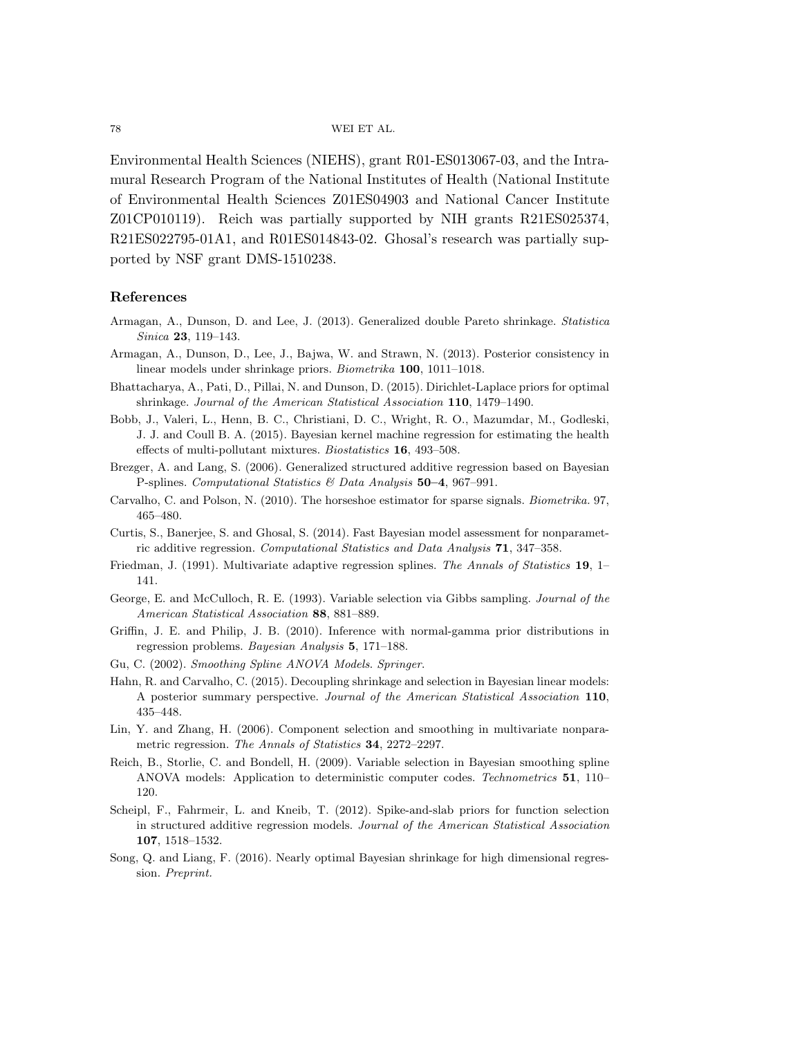Environmental Health Sciences (NIEHS), grant R01-ES013067-03, and the Intramural Research Program of the National Institutes of Health (National Institute of Environmental Health Sciences Z01ES04903 and National Cancer Institute Z01CP010119). Reich was partially supported by NIH grants R21ES025374, R21ES022795-01A1, and R01ES014843-02. Ghosal's research was partially supported by NSF grant DMS-1510238.

#### References

- <span id="page-23-10"></span>Armagan, A., Dunson, D. and Lee, J. (2013). Generalized double Pareto shrinkage. Statistica Sinica 23, 119-143.
- <span id="page-23-12"></span>Armagan, A., Dunson, D., Lee, J., Bajwa, W. and Strawn, N. (2013). Posterior consistency in linear models under shrinkage priors. Biometrika 100, 1011–1018.
- <span id="page-23-11"></span>Bhattacharya, A., Pati, D., Pillai, N. and Dunson, D. (2015). Dirichlet-Laplace priors for optimal shrinkage. Journal of the American Statistical Association 110, 1479-1490.
- <span id="page-23-2"></span>Bobb, J., Valeri, L., Henn, B. C., Christiani, D. C., Wright, R. O., Mazumdar, M., Godleski, J. J. and Coull B. A. (2015). Bayesian kernel machine regression for estimating the health effects of multi-pollutant mixtures. Biostatistics 16, 493–508.
- <span id="page-23-15"></span>Brezger, A. and Lang, S. (2006). Generalized structured additive regression based on Bayesian P-splines. Computational Statistics  $\mathcal B$  Data Analysis 50–4, 967–991.
- <span id="page-23-8"></span>Carvalho, C. and Polson, N. (2010). The horseshoe estimator for sparse signals. Biometrika. 97, 465–480.
- <span id="page-23-7"></span>Curtis, S., Banerjee, S. and Ghosal, S. (2014). Fast Bayesian model assessment for nonparametric additive regression. Computational Statistics and Data Analysis 71, 347–358.
- <span id="page-23-0"></span>Friedman, J. (1991). Multivariate adaptive regression splines. The Annals of Statistics 19, 1– 141.
- <span id="page-23-5"></span>George, E. and McCulloch, R. E. (1993). Variable selection via Gibbs sampling. Journal of the American Statistical Association 88, 881–889.
- <span id="page-23-9"></span>Griffin, J. E. and Philip, J. B. (2010). Inference with normal-gamma prior distributions in regression problems. Bayesian Analysis 5, 171–188.
- <span id="page-23-3"></span>Gu, C. (2002). Smoothing Spline ANOVA Models. Springer.
- <span id="page-23-14"></span>Hahn, R. and Carvalho, C. (2015). Decoupling shrinkage and selection in Bayesian linear models: A posterior summary perspective. Journal of the American Statistical Association 110, 435–448.
- <span id="page-23-1"></span>Lin, Y. and Zhang, H. (2006). Component selection and smoothing in multivariate nonparametric regression. The Annals of Statistics 34, 2272–2297.
- <span id="page-23-4"></span>Reich, B., Storlie, C. and Bondell, H. (2009). Variable selection in Bayesian smoothing spline ANOVA models: Application to deterministic computer codes. Technometrics 51, 110– 120.
- <span id="page-23-6"></span>Scheipl, F., Fahrmeir, L. and Kneib, T. (2012). Spike-and-slab priors for function selection in structured additive regression models. Journal of the American Statistical Association 107, 1518–1532.
- <span id="page-23-13"></span>Song, Q. and Liang, F. (2016). Nearly optimal Bayesian shrinkage for high dimensional regression. Preprint.